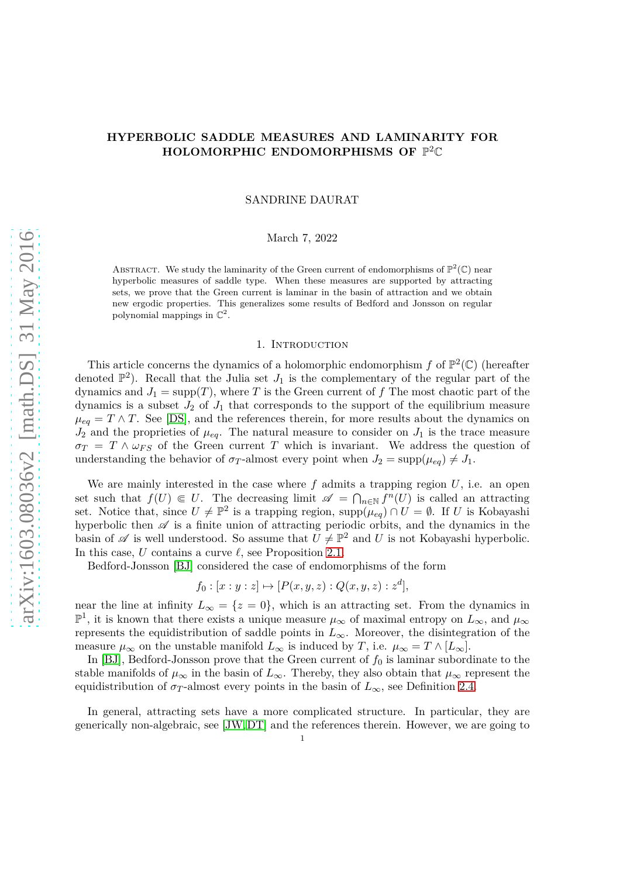# **HYPERBOLIC SADDLE MEASURES AND LAMINARITY FOR HOLOMORPHIC ENDOMORPHISMS OF** P <sup>2</sup>C

SANDRINE DAURAT

# March 7, 2022

ABSTRACT. We study the laminarity of the Green current of endomorphisms of  $\mathbb{P}^2(\mathbb{C})$  near hyperbolic measures of saddle type. When these measures are supported by attracting sets, we prove that the Green current is laminar in the basin of attraction and we obtain new ergodic properties. This generalizes some results of Bedford and Jonsson on regular polynomial mappings in  $\mathbb{C}^2$ .

### 1. INTRODUCTION

This article concerns the dynamics of a holomorphic endomorphism  $f$  of  $\mathbb{P}^2(\mathbb{C})$  (hereafter denoted  $\mathbb{P}^2$ ). Recall that the Julia set  $J_1$  is the complementary of the regular part of the dynamics and  $J_1 = \text{supp}(T)$ , where T is the Green current of f The most chaotic part of the dynamics is a subset  $J_2$  of  $J_1$  that corresponds to the support of the equilibrium measure  $\mu_{eq} = T \wedge T$ . See [\[DS\]](#page-27-0), and the references therein, for more results about the dynamics on  $J_2$  and the proprieties of  $\mu_{eq}$ . The natural measure to consider on  $J_1$  is the trace measure  $\sigma_T$  = *T*  $\land \omega_{FS}$  of the Green current *T* which is invariant. We address the question of understanding the behavior of  $\sigma_T$ -almost every point when  $J_2 = \sup_p(\mu_{eq}) \neq J_1$ .

We are mainly interested in the case where  $f$  admits a trapping region  $U$ , i.e. an open set such that  $f(U) \in U$ . The decreasing limit  $\mathscr{A} = \bigcap_{n \in \mathbb{N}} f^n(U)$  is called an attracting set. Notice that, since  $U \neq \mathbb{P}^2$  is a trapping region,  $\text{supp}(\mu_{eq}) \cap U = \emptyset$ . If *U* is Kobayashi hyperbolic then  $\mathscr A$  is a finite union of attracting periodic orbits, and the dynamics in the basin of  $\mathscr A$  is well understood. So assume that  $U \neq \mathbb P^2$  and  $U$  is not Kobayashi hyperbolic. In this case, *U* contains a curve *ℓ*, see Proposition [2.1.](#page-3-0)

Bedford-Jonsson [\[BJ\]](#page-27-1) considered the case of endomorphisms of the form

$$
f_0 : [x : y : z] \mapsto [P(x, y, z) : Q(x, y, z) : z^d],
$$

near the line at infinity  $L_{\infty} = \{z = 0\}$ , which is an attracting set. From the dynamics in  $\mathbb{P}^1$ , it is known that there exists a unique measure  $\mu_{\infty}$  of maximal entropy on  $L_{\infty}$ , and  $\mu_{\infty}$ represents the equidistribution of saddle points in *L*∞. Moreover, the disintegration of the measure  $\mu_{\infty}$  on the unstable manifold  $L_{\infty}$  is induced by *T*, i.e.  $\mu_{\infty} = T \wedge [L_{\infty}]$ .

In [\[BJ\]](#page-27-1), Bedford-Jonsson prove that the Green current of  $f_0$  is laminar subordinate to the stable manifolds of  $\mu_{\infty}$  in the basin of  $L_{\infty}$ . Thereby, they also obtain that  $\mu_{\infty}$  represent the equidistribution of  $\sigma_T$ -almost every points in the basin of  $L_\infty$ , see Definition [2.4.](#page-4-0)

In general, attracting sets have a more complicated structure. In particular, they are generically non-algebraic, see [\[JW,](#page-27-2)[DT\]](#page-27-3) and the references therein. However, we are going to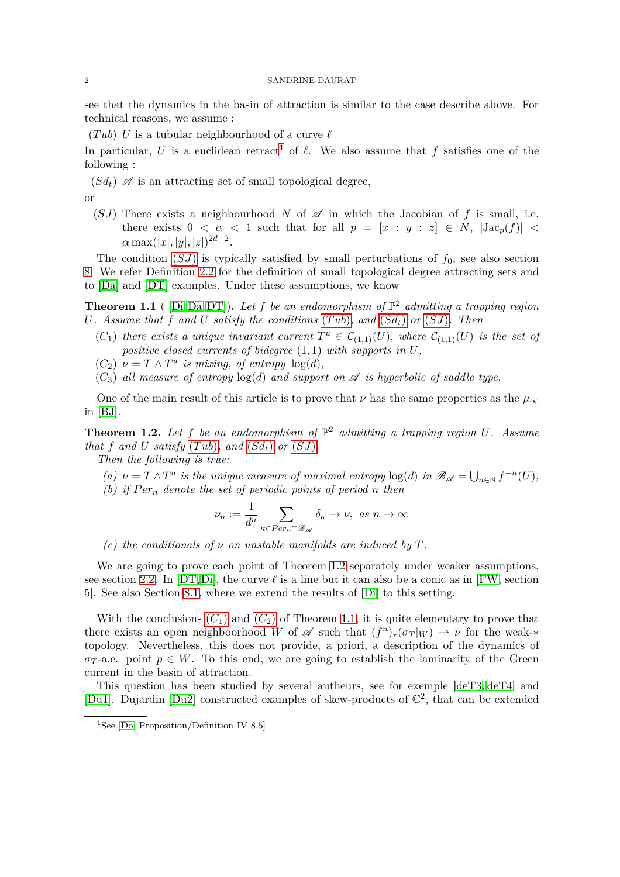<span id="page-1-2"></span>see that the dynamics in the basin of attraction is similar to the case describe above. For technical reasons, we assume :

 $(Tub)$  *U* is a tubular neighbourhood of a curve  $\ell$ 

In particular, *U* is a euclidean retract<sup>[1](#page-1-0)</sup> of  $\ell$ . We also assume that  $f$  satisfies one of the following :

<span id="page-1-3"></span> $(Sd_t)$   $\mathscr A$  is an attracting set of small topological degree,

<span id="page-1-1"></span>
$$
\quad \text{or} \quad
$$

(*SJ*) There exists a neighbourhood *N* of  $\mathscr A$  in which the Jacobian of f is small, i.e. there exists  $0 < \alpha < 1$  such that for all  $p = [x : y : z] \in N$ ,  $|\text{Jac}_p(f)| <$  $\alpha \max(|x|, |y|, |z|)^{2d-2}.$ 

The condition  $(SJ)$  $(SJ)$  $(SJ)$  is typically satisfied by small perturbations of  $f_0$ , see also section [8.](#page-24-0) We refer Definition [2.2](#page-3-1) for the definition of small topological degree attracting sets and to [\[Da\]](#page-27-4) and [\[DT\]](#page-27-3) examples. Under these assumptions, we know

<span id="page-1-7"></span>**Theorem 1.1** ( [\[Di,](#page-27-5)[Da,](#page-27-4)[DT\]](#page-27-3)). Let f be an endomorphism of  $\mathbb{P}^2$  admitting a trapping region *U. Assume that*  $\overline{f}$  *and*  $U$  *satisfy the conditions* (*Tub*)*, and* (*[Sd](#page-1-3)<sub>t</sub>*) *or* (*[SJ](#page-1-1)*)*. Then* 

- <span id="page-1-5"></span> $(C_1)$  *there exists a unique invariant current*  $T^u \in C_{(1,1)}(U)$ *, where*  $C_{(1,1)}(U)$  *is the set of positive closed currents of bidegree* (1*,* 1) *with supports in U,*
- <span id="page-1-6"></span> $(C_2)$   $\nu = T \wedge T^u$  *is mixing, of entropy*  $log(d)$ *,*
- $(C_3)$  *all measure of entropy*  $log(d)$  *and support on*  $\mathscr A$  *is hyperbolic of saddle type.*

One of the main result of this article is to prove that  $\nu$  has the same properties as the  $\mu_{\infty}$ in [\[BJ\]](#page-27-1).

<span id="page-1-4"></span>**Theorem 1.2.** Let  $f$  be an endomorphism of  $\mathbb{P}^2$  admitting a trapping region U. Assume *that*  $f$  *and*  $U$  *satisfy*  $(Tub)$ *, and*  $(Sd_t)$  $(Sd_t)$  $(Sd_t)$  *or*  $(SJ)$  $(SJ)$  $(SJ)$ *.* 

*Then the following is true:*

- *(a)*  $\nu = T \wedge T^u$  *is the unique measure of maximal entropy*  $log(d)$  *in*  $\mathscr{B}_{\mathscr{A}} = \bigcup_{n \in \mathbb{N}} f^{-n}(U)$ *,*
- *(b) if Per<sup>n</sup> denote the set of periodic points of period n then*

$$
\nu_n:=\frac{1}{d^n}\sum_{\kappa\in Per_n\cap\mathscr{B}_{\mathscr{A}}}\delta_\kappa\to\nu,\ as\ n\to\infty
$$

*(c)* the conditionals of  $\nu$  on unstable manifolds are induced by  $T$ .

We are going to prove each point of Theorem [1.2](#page-1-4) separately under weaker assumptions, see section [2.2.](#page-3-2) In  $[DT,Di]$  $[DT,Di]$ , the curve  $\ell$  is a line but it can also be a conic as in  $[FW, \text{section}]$ 5]. See also Section [8.1,](#page-24-1) where we extend the results of [\[Di\]](#page-27-5) to this setting.

With the conclusions  $(C_1)$  $(C_1)$  $(C_1)$  and  $(C_2)$  of Theorem [1.1,](#page-1-7) it is quite elementary to prove that there exists an open neighboorhood *W* of  $\mathscr A$  such that  $(f^n)_*(\sigma_T|_W) \to \nu$  for the weak-\* topology. Nevertheless, this does not provide, a priori, a description of the dynamics of  $\sigma_T$ -a.e. point  $p \in W$ . To this end, we are going to establish the laminarity of the Green current in the basin of attraction.

This question has been studied by several autheurs, see for exemple [\[deT3,](#page-28-0) [deT4\]](#page-28-1) and [\[Du1\]](#page-27-7). Dujardin [\[Du2\]](#page-27-8) constructed examples of skew-products of C 2 , that can be extended

<span id="page-1-0"></span><sup>&</sup>lt;sup>1</sup>See [\[Do,](#page-27-9) Proposition/Definition IV 8.5]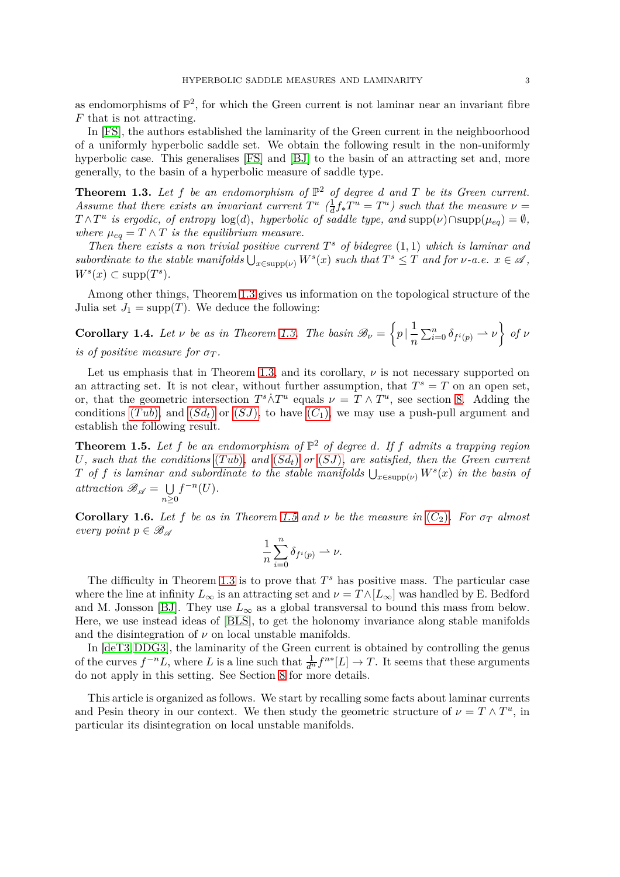as endomorphisms of  $\mathbb{P}^2$ , for which the Green current is not laminar near an invariant fibre *F* that is not attracting.

In [\[FS\]](#page-27-10), the authors established the laminarity of the Green current in the neighboorhood of a uniformly hyperbolic saddle set. We obtain the following result in the non-uniformly hyperbolic case. This generalises [\[FS\]](#page-27-10) and [\[BJ\]](#page-27-1) to the basin of an attracting set and, more generally, to the basin of a hyperbolic measure of saddle type.

<span id="page-2-0"></span>**Theorem 1.3.** Let  $f$  be an endomorphism of  $\mathbb{P}^2$  of degree  $d$  and  $T$  be its Green current. Assume that there exists an invariant current  $T^u$  ( $\frac{1}{d}$ )  $\frac{1}{d} f_* T^u = T^u$ ) such that the measure  $\nu =$  $T \wedge T^u$  *is ergodic, of entropy*  $log(d)$ *, hyperbolic of saddle type, and*  $supp(\nu) \cap supp(\mu_{eq}) = \emptyset$ *, where*  $\mu_{eq} = T \wedge T$  *is the equilibrium measure.* 

*Then there exists a non trivial positive current*  $T^s$  *of bidegree*  $(1,1)$  *which is laminar and*  $subordinate$  *to the stable manifolds*  $\bigcup_{x \in \text{supp}(\nu)} W^s(x)$  *such that*  $T^s \leq T$  *and for*  $\nu$ *-a.e.*  $x \in \mathcal{A}$ ,  $W^s(x) \subset \text{supp}(T^s)$ *.* 

Among other things, Theorem [1.3](#page-2-0) gives us information on the topological structure of the Julia set  $J_1 = \text{supp}(T)$ . We deduce the following:

**Corollary 1.4.** *Let ν be as in Theorem [1.3.](#page-2-0) The basin*  $\mathcal{B}_{\nu} = \left\{ p \mid \frac{1}{n} \right\}$ *n*  $\sum_{i=0}^{n} \delta_{f^{i}(p)} \rightarrow \nu$  *of ν is of positive measure for*  $\sigma_T$ .

Let us emphasis that in Theorem [1.3,](#page-2-0) and its corollary,  $\nu$  is not necessary supported on an attracting set. It is not clear, without further assumption, that  $T^s = T$  on an open set, or, that the geometric intersection  $T^s \dot{\wedge} T^u$  equals  $\nu = T \wedge T^u$ , see section [8.](#page-24-0) Adding the conditions  $(Tub)$ , and  $(Sd_t)$  $(Sd_t)$  $(Sd_t)$  or  $(SJ)$  $(SJ)$  $(SJ)$ , to have  $(C_1)$ , we may use a push-pull argument and establish the following result.

<span id="page-2-1"></span>**Theorem 1.5.** Let  $f$  be an endomorphism of  $\mathbb{P}^2$  of degree *d*. If  $f$  admits a trapping region *U, such that the conditions* (*[T ub](#page-1-2)*)*, and* (*[Sd](#page-1-3)t*) *or* (*[SJ](#page-1-1)*)*, are satisfied, then the Green current T of f is laminar and subordinate to the stable manifolds*  $\bigcup_{x \in \text{supp}(\nu)} W^s(x)$  *in the basin of attraction*  $\mathscr{B}_{\mathscr{A}} = \bigcup$ *n*≥0  $f^{-n}(U)$ .

**[C](#page-1-6)orollary 1.6.** *Let f be as in Theorem* [1.5](#page-2-1) *and*  $\nu$  *be the measure in* ( $C_2$ )*. For*  $\sigma_T$  *almost every point*  $p \in \mathscr{B}_{\mathscr{A}}$ 

$$
\frac{1}{n}\sum_{i=0}^n \delta_{f^i(p)} \rightharpoonup \nu.
$$

The difficulty in Theorem [1.3](#page-2-0) is to prove that  $T^s$  has positive mass. The particular case where the line at infinity  $L_{\infty}$  is an attracting set and  $\nu = T \wedge [L_{\infty}]$  was handled by E. Bedford and M. Jonsson [\[BJ\]](#page-27-1). They use  $L_{\infty}$  as a global transversal to bound this mass from below. Here, we use instead ideas of [\[BLS\]](#page-27-11), to get the holonomy invariance along stable manifolds and the disintegration of  $\nu$  on local unstable manifolds.

In [\[deT3,](#page-28-0)[DDG3\]](#page-27-12), the laminarity of the Green current is obtained by controlling the genus of the curves  $f^{-n}L$ , where *L* is a line such that  $\frac{1}{d^n} f^{n*}[L] \to T$ . It seems that these arguments do not apply in this setting. See Section [8](#page-24-0) for more details.

This article is organized as follows. We start by recalling some facts about laminar currents and Pesin theory in our context. We then study the geometric structure of  $\nu = T \wedge T^u$ , in particular its disintegration on local unstable manifolds.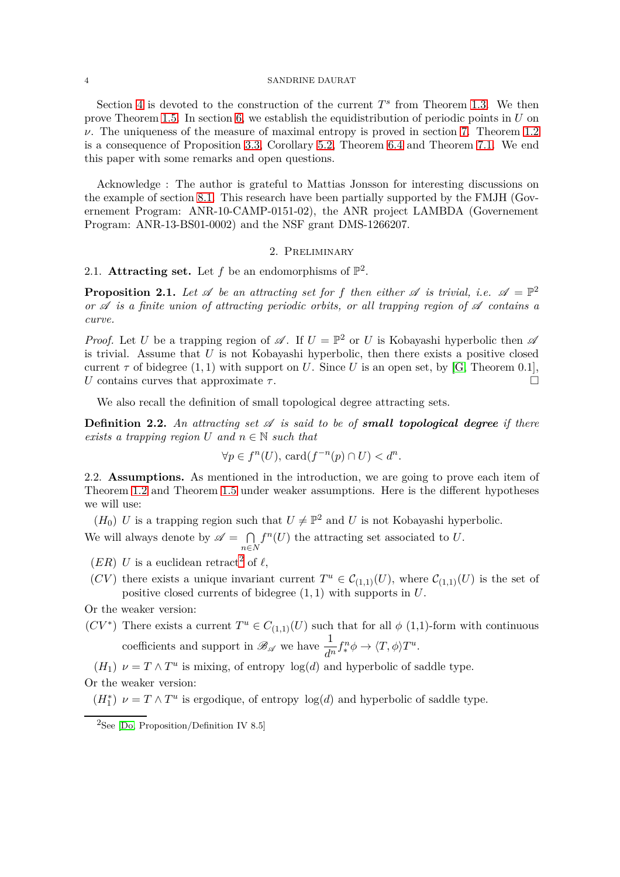Section [4](#page-13-0) is devoted to the construction of the current  $T^s$  from Theorem [1.3.](#page-2-0) We then prove Theorem [1.5.](#page-2-1) In section [6,](#page-21-0) we establish the equidistribution of periodic points in *U* on  $ν$ . The uniqueness of the measure of maximal entropy is proved in section [7.](#page-22-0) Theorem [1.2](#page-1-4) is a consequence of Proposition [3.3,](#page-11-0) Corollary [5.2,](#page-19-0) Theorem [6.4](#page-22-1) and Theorem [7.1.](#page-22-2) We end this paper with some remarks and open questions.

Acknowledge : The author is grateful to Mattias Jonsson for interesting discussions on the example of section [8.1.](#page-24-1) This research have been partially supported by the FMJH (Governement Program: ANR-10-CAMP-0151-02), the ANR project LAMBDA (Governement Program: ANR-13-BS01-0002) and the NSF grant DMS-1266207.

## 2. Preliminary

2.1. Attracting set. Let  $f$  be an endomorphisms of  $\mathbb{P}^2$ .

<span id="page-3-0"></span>**Proposition 2.1.** Let  $\mathscr A$  be an attracting set for f then either  $\mathscr A$  is trivial, i.e.  $\mathscr A = \mathbb P^2$ *or*  $\mathscr A$  *is a finite union of attracting periodic orbits, or all trapping region of*  $\mathscr A$  *contains a curve.*

*Proof.* Let *U* be a trapping region of  $\mathscr A$ . If  $U = \mathbb P^2$  or *U* is Kobayashi hyperbolic then  $\mathscr A$ is trivial. Assume that  $U$  is not Kobayashi hyperbolic, then there exists a positive closed current  $\tau$  of bidegree  $(1, 1)$  with support on *U*. Since *U* is an open set, by [\[G,](#page-27-13) Theorem 0.1], *U* contains curves that approximate  $\tau$ .

We also recall the definition of small topological degree attracting sets.

<span id="page-3-1"></span>**Definition 2.2.** An attracting set  $\mathscr A$  is said to be of **small topological degree** if there *exists a trapping region*  $U$  *and*  $n \in \mathbb{N}$  *such that* 

$$
\forall p \in f^{n}(U), \,\mathrm{card}(f^{-n}(p) \cap U) < d^{n}.
$$

<span id="page-3-2"></span>2.2. **Assumptions.** As mentioned in the introduction, we are going to prove each item of Theorem [1.2](#page-1-4) and Theorem [1.5](#page-2-1) under weaker assumptions. Here is the different hypotheses we will use:

<span id="page-3-4"></span> $(H_0)$  *U* is a trapping region such that  $U \neq \mathbb{P}^2$  and *U* is not Kobayashi hyperbolic. We will always denote by  $\mathscr{A} = \bigcap$ *n*∈*N*  $f<sup>n</sup>(U)$  the attracting set associated to *U*.

- <span id="page-3-9"></span><span id="page-3-7"></span> $(ER)$  *U* is a euclidean retract<sup>[2](#page-3-3)</sup> of  $\ell$ ,
- (*CV*) there exists a unique invariant current  $T^u \in C_{(1,1)}(U)$ , where  $C_{(1,1)}(U)$  is the set of positive closed currents of bidegree (1*,* 1) with supports in *U*.

<span id="page-3-5"></span>Or the weaker version:

(*CV*<sup>\*</sup>) There exists a current  $T^u \in C_{(1,1)}(U)$  such that for all  $\phi$  (1,1)-form with continuous coefficients and support in  $\mathscr{B}_{\mathscr{A}}$  we have  $\frac{1}{d^n} f_*^n \phi \to \langle T, \phi \rangle T^u$ .

<span id="page-3-8"></span> $(H_1)$   $\nu = T \wedge T^u$  is mixing, of entropy  $\log(d)$  and hyperbolic of saddle type.

<span id="page-3-6"></span>Or the weaker version:

 $(H_1^*)$   $\nu = T \wedge T^u$  is ergodique, of entropy  $log(d)$  and hyperbolic of saddle type.

<span id="page-3-3"></span> ${}^{2}$ See [\[Do,](#page-27-9) Proposition/Definition IV 8.5]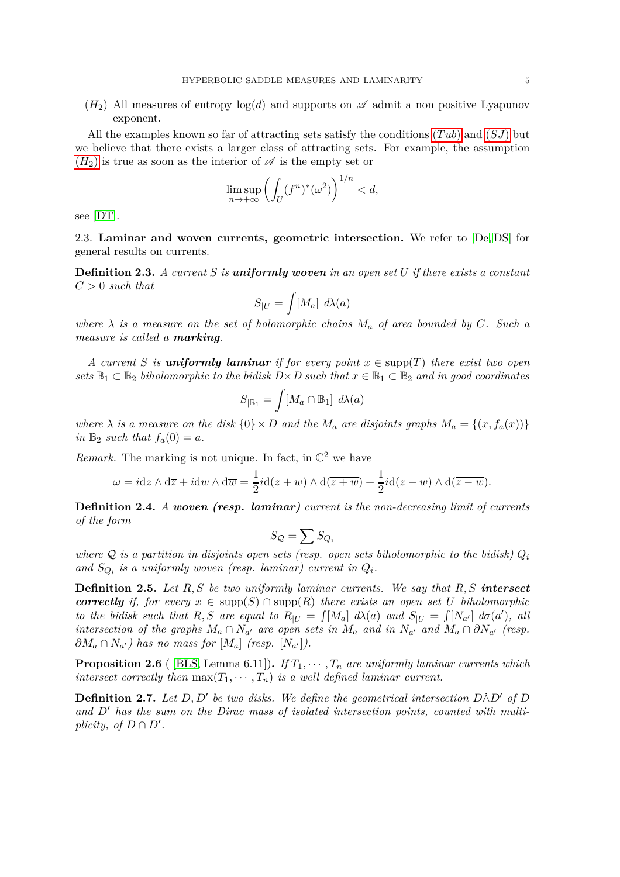<span id="page-4-1"></span> $(H_2)$  All measures of entropy  $log(d)$  and supports on  $\mathscr A$  admit a non positive Lyapunov exponent.

All the examples known so far of attracting sets satisfy the conditions (*[T ub](#page-1-2)*) and (*[SJ](#page-1-1)*) but we believe that there exists a larger class of attracting sets. For example, the assumption  $(H_2)$  $(H_2)$  $(H_2)$  is true as soon as the interior of  $\mathscr A$  is the empty set or

$$
\limsup_{n \to +\infty} \left( \int_U (f^n)^* (\omega^2) \right)^{1/n} < d,
$$

see [\[DT\]](#page-27-3).

2.3. **Laminar and woven currents, geometric intersection.** We refer to [\[De,](#page-27-14) [DS\]](#page-27-0) for general results on currents.

**Definition 2.3.** *A current S is uniformly woven in an open set U if there exists a constant C >* 0 *such that*

$$
S_{|U}=\int [M_a] \ d\lambda(a)
$$

*where*  $\lambda$  *is a measure on the set of holomorphic chains*  $M_a$  *of area bounded by*  $C$ *. Such a measure is called a marking.*

*A current S is uniformly laminar if for every point*  $x \in \text{supp}(T)$  *there exist two open sets*  $\mathbb{B}_1 \subset \mathbb{B}_2$  *biholomorphic to the bidisk*  $D \times D$  *such that*  $x \in \mathbb{B}_1 \subset \mathbb{B}_2$  *and in good coordinates* 

$$
S_{|\mathbb{B}_1} = \int [M_a \cap \mathbb{B}_1] d\lambda(a)
$$

*where*  $\lambda$  *is a measure on the disk*  $\{0\} \times D$  *and the*  $M_a$  *are disjoints graphs*  $M_a = \{(x, f_a(x))\}$ *in*  $\mathbb{B}_2$  *such that*  $f_a(0) = a$ *.* 

*Remark.* The marking is not unique. In fact, in  $\mathbb{C}^2$  we have

$$
\omega = i dz \wedge d\overline{z} + i dw \wedge d\overline{w} = \frac{1}{2} i d(z+w) \wedge d(\overline{z+w}) + \frac{1}{2} i d(z-w) \wedge d(\overline{z-w}).
$$

<span id="page-4-0"></span>**Definition 2.4.** *A woven (resp. laminar) current is the non-decreasing limit of currents of the form*

$$
S_{\mathcal{Q}} = \sum S_{Q_i}
$$

*where*  $Q$  *is a partition in disjoints open sets (resp. open sets biholomorphic to the bidisk)*  $Q_i$ and  $S_{Q_i}$  is a uniformly woven (resp. laminar) current in  $Q_i$ .

**Definition 2.5.** *Let R, S be two uniformly laminar currents. We say that R, S intersect correctly if, for every*  $x \in \text{supp}(S) \cap \text{supp}(R)$  *there exists an open set U biholomorphic* to the bidisk such that R, S are equal to  $R_{|U} = \int [M_a] d\lambda(a)$  and  $S_{|U} = \int [N_{a'}] d\sigma(a')$ , all *intersection of the graphs*  $M_a \cap N_{a'}$  *are open sets in*  $M_a$  *and in*  $N_{a'}$  *and*  $M_a \cap \partial N_{a'}$  *(resp.*  $\partial M_a \cap N_{a'}$ ) has no mass for  $[M_a]$  (resp.  $[N_{a'}]$ ).

**Proposition 2.6** ( [\[BLS,](#page-27-11) Lemma 6.11]). *If*  $T_1, \dots, T_n$  *are uniformly laminar currents which intersect correctly then*  $max(T_1, \dots, T_n)$  *is a well defined laminar current.* 

<span id="page-4-2"></span>**Definition 2.7.** Let  $D, D'$  be two disks. We define the geometrical intersection  $D \wedge D'$  of  $D$ *and D*′ *has the sum on the Dirac mass of isolated intersection points, counted with multiplicity, of*  $D \cap D'$ *.*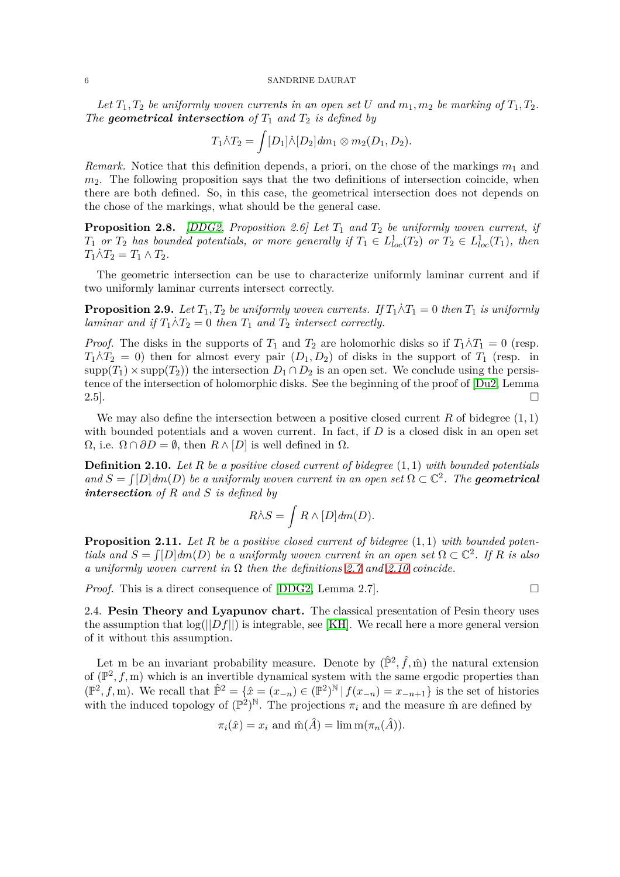*Let*  $T_1, T_2$  *be uniformly woven currents in an open set U and*  $m_1, m_2$  *be marking of*  $T_1, T_2$ *. The* **geometrical intersection** of  $T_1$  *and*  $T_2$  *is defined by* 

$$
T_1 \dot{\wedge} T_2 = \int [D_1] \dot{\wedge} [D_2] dm_1 \otimes m_2(D_1, D_2).
$$

*Remark.* Notice that this definition depends, a priori, on the chose of the markings *m*<sup>1</sup> and *m*2. The following proposition says that the two definitions of intersection coincide, when there are both defined. So, in this case, the geometrical intersection does not depends on the chose of the markings, what should be the general case.

**Proposition 2.8.** *[\[DDG2,](#page-27-15) Proposition 2.6] Let T*<sup>1</sup> *and T*<sup>2</sup> *be uniformly woven current, if*  $T_1$  *or*  $T_2$  *has bounded potentials, or more generally if*  $T_1 \in L^1_{loc}(T_2)$  *or*  $T_2 \in L^1_{loc}(T_1)$ *, then*  $T_1 \dot{\wedge} T_2 = T_1 \wedge T_2.$ 

The geometric intersection can be use to characterize uniformly laminar current and if two uniformly laminar currents intersect correctly.

<span id="page-5-1"></span>**Proposition 2.9.** *Let*  $T_1, T_2$  *be uniformly woven currents.* If  $T_1 \land T_1 = 0$  *then*  $T_1$  *is uniformly laminar and if*  $T_1 \wedge T_2 = 0$  *then*  $T_1$  *and*  $T_2$  *intersect correctly.* 

*Proof.* The disks in the supports of  $T_1$  and  $T_2$  are holomorhic disks so if  $T_1 \wedge T_1 = 0$  (resp.  $T_1 \dot{\wedge} T_2 = 0$ ) then for almost every pair  $(D_1, D_2)$  of disks in the support of  $T_1$  (resp. in  $\text{supp}(T_1) \times \text{supp}(T_2)$ ) the intersection  $D_1 \cap D_2$  is an open set. We conclude using the persistence of the intersection of holomorphic disks. See the beginning of the proof of [\[Du2,](#page-27-8) Lemma 2.5].  $\square$ 

We may also define the intersection between a positive closed current  $R$  of bidegree  $(1, 1)$ with bounded potentials and a woven current. In fact, if *D* is a closed disk in an open set  $\Omega$ , i.e.  $\Omega \cap \partial D = \emptyset$ , then  $R \wedge [D]$  is well defined in  $\Omega$ .

<span id="page-5-0"></span>**Definition 2.10.** *Let R be a positive closed current of bidegree* (1*,* 1) *with bounded potentials*  $and S = \int [D] dm(D)$  *be a uniformly woven current in an open set*  $\Omega \subset \mathbb{C}^2$ . The **geometrical** *intersection of R and S is defined by*

$$
R\dot{\wedge} S = \int R \wedge [D] dm(D).
$$

**Proposition 2.11.** *Let R be a positive closed current of bidegree* (1*,* 1) *with bounded potentials and*  $S = \int [D] dm(D)$  *be a uniformly woven current in an open set*  $\Omega \subset \mathbb{C}^2$ . If R *is also a uniformly woven current in* Ω *then the definitions [2.7](#page-4-2) and [2.10](#page-5-0) coincide.*

*Proof.* This is a direct consequence of  $[DDG2, Lemma 2.7]$ .

2.4. **Pesin Theory and Lyapunov chart.** The classical presentation of Pesin theory uses the assumption that  $\log(||Df||)$  is integrable, see [\[KH\]](#page-27-16). We recall here a more general version of it without this assumption.

Let m be an invariant probability measure. Denote by  $(\hat{\mathbb{P}}^2, \hat{f}, \hat{\mathbb{m}})$  the natural extension of  $(\mathbb{P}^2, f, m)$  which is an invertible dynamical system with the same ergodic properties than  $(\mathbb{P}^2, f, m)$ . We recall that  $\hat{\mathbb{P}}^2 = {\hat{x} = (x_{-n}) \in (\mathbb{P}^2)^{\mathbb{N}} | f(x_{-n}) = x_{-n+1}}$  is the set of histories with the induced topology of  $(\mathbb{P}^2)^{\mathbb{N}}$ . The projections  $\pi_i$  and the measure m are defined by

$$
\pi_i(\hat{x}) = x_i \text{ and } \hat{m}(\hat{A}) = \lim_{n \to \infty} \pi(\pi_n(\hat{A})).
$$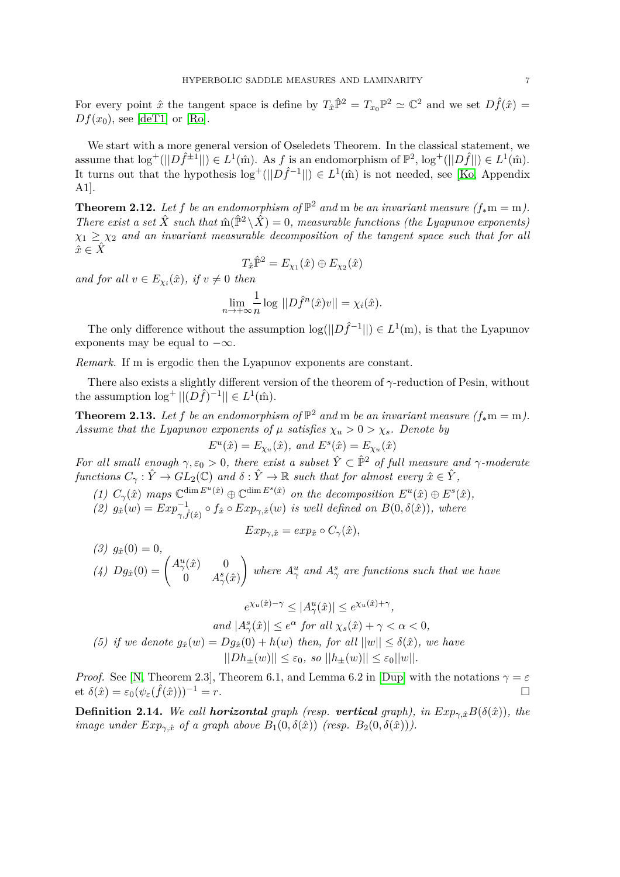For every point  $\hat{x}$  the tangent space is define by  $T_{\hat{x}}\hat{P}^2 = T_{x_0}P^2 \simeq \mathbb{C}^2$  and we set  $D\hat{f}(\hat{x}) =$  $Df(x_0)$ , see [\[deT1\]](#page-27-17) or [\[Ro\]](#page-27-18).

We start with a more general version of Oseledets Theorem. In the classical statement, we assume that  $\log^+(||D\hat{f}^{\pm 1}||) \in L^1(\hat{m})$ . As *f* is an endomorphism of  $\mathbb{P}^2$ ,  $\log^+(||D\hat{f}||) \in L^1(\hat{m})$ . It turns out that the hypothesis  $\log^+(||D\hat{f}^{-1}||) \in L^1(\hat{m})$  is not needed, see [\[Ko,](#page-27-19) Appendix A1].

**Theorem 2.12.** Let f be an endomorphism of  $\mathbb{P}^2$  and m be an invariant measure  $(f_*m = m)$ . *There exist a set*  $\hat{X}$  *such that*  $\hat{m}(\hat{P}^2 \setminus \hat{X}) = 0$ *, measurable functions (the Lyapunov exponents)*  $\chi_1 \geq \chi_2$  *and an invariant measurable decomposition of the tangent space such that for all*  $\hat{x} \in \hat{X}$ 

$$
T_{\hat{x}}\hat{\mathbb{P}}^2 = E_{\chi_1}(\hat{x}) \oplus E_{\chi_2}(\hat{x})
$$

*and for all*  $v \in E_{\chi_i}(\hat{x})$ *, if*  $v \neq 0$  *then* 

$$
\lim_{n \to +\infty} \frac{1}{n} \log ||D\hat{f}^n(\hat{x})v|| = \chi_i(\hat{x}).
$$

The only difference without the assumption  $\log(||D\hat{f}^{-1}||) \in L^1(m)$ , is that the Lyapunov exponents may be equal to  $-\infty$ .

*Remark.* If m is ergodic then the Lyapunov exponents are constant.

There also exists a slightly different version of the theorem of *γ*-reduction of Pesin, without the assumption  $\log^+||(D\hat{f})^{-1}|| \in L^1(\hat{m}).$ 

<span id="page-6-0"></span>**Theorem 2.13.** Let f be an endomorphism of  $\mathbb{P}^2$  and m be an invariant measure  $(f_*m = m)$ . *Assume that the Lyapunov exponents of*  $\mu$  *satisfies*  $\chi_u > 0 > \chi_s$ *. Denote by*  $E^u(\hat{x}) = E_{\chi_u}(\hat{x})$ *, and*  $E^s(\hat{x}) = E_{\chi_u}(\hat{x})$ 

*For all small enough*  $\gamma, \varepsilon_0 > 0$ , there exist a subset  $\hat{Y} \subset \hat{\mathbb{P}}^2$  of full measure and  $\gamma$ -moderate *functions*  $C_{\gamma}: \hat{Y} \to GL_2(\mathbb{C})$  *and*  $\delta: \hat{Y} \to \mathbb{R}$  *such that for almost every*  $\hat{x} \in \hat{Y}$ ,

- *(1)*  $C_{\gamma}(\hat{x})$  maps  $\mathbb{C}^{\dim E^u(\hat{x})} \oplus \mathbb{C}^{\dim E^s(\hat{x})}$  on the decomposition  $E^u(\hat{x}) \oplus E^s(\hat{x})$ ,
- $g(x)$   $g_{\hat{x}}(w) = Exp^{-1}_{\gamma, \hat{f}(\hat{x})} \circ f_{\hat{x}} \circ Exp_{\gamma, \hat{x}}(w)$  *is well defined on*  $B(0, \delta(\hat{x}))$ *, where*

$$
Exp_{\gamma, \hat{x}} = exp_{\hat{x}} \circ C_{\gamma}(\hat{x}),
$$

 $(3)$   $g_{\hat{x}}(0) = 0$ , *(4)*  $Dg_{\hat{x}}(0) = \begin{pmatrix} A^u_{\gamma}(\hat{x}) & 0 \\ 0 & A^s \end{pmatrix}$ 0  $A^s_\gamma(\hat{x})$ ! *where*  $A^u_\gamma$  *and*  $A^s_\gamma$  *are functions such that we have* 

$$
e^{\chi_u(\hat{x})-\gamma} \le |A^u_\gamma(\hat{x})| \le e^{\chi_u(\hat{x})+\gamma},
$$

 $|A^s_\gamma(\hat{x})| \leq e^{\alpha}$  *for all*  $\chi_s(\hat{x}) + \gamma < \alpha < 0$ ,

*(5) if we denote*  $g_{\hat{x}}(w) = Dg_{\hat{x}}(0) + h(w)$  *then, for all*  $||w|| \leq \delta(\hat{x})$ *, we have*  $||Dh+(w)|| \leq \varepsilon_0$ , so  $||h+(w)|| \leq \varepsilon_0||w||$ .

*Proof.* See [\[N,](#page-27-20) Theorem 2.3], Theorem 6.1, and Lemma 6.2 in [\[Dup\]](#page-27-21) with the notations  $\gamma = \varepsilon$  $\epsilon \delta(\hat{x}) = \varepsilon_0(\psi_{\varepsilon}(\hat{f}(\hat{x})))^{-1} = r.$ 

**Definition 2.14.** *We call horizontal graph (resp. vertical graph), in*  $Exp_{\gamma, \hat{x}}B(\delta(\hat{x}))$ *, the image under*  $Exp_{\gamma, \hat{x}}$  *of a graph above*  $B_1(0, \delta(\hat{x}))$  (resp.  $B_2(0, \delta(\hat{x}))$ ).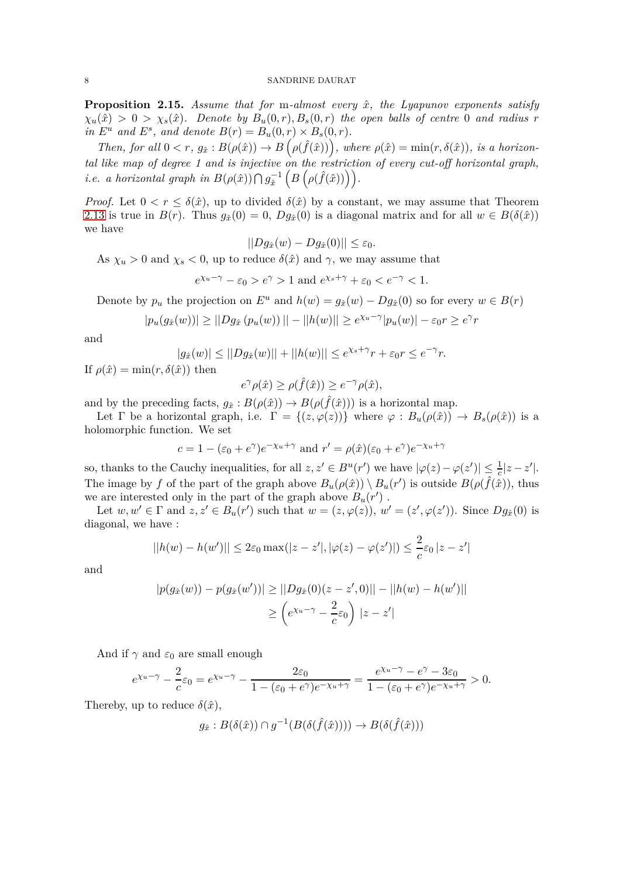<span id="page-7-0"></span>**Proposition 2.15.** *Assume that for* m*-almost every x*ˆ*, the Lyapunov exponents satisfy*  $\chi_u(\hat{x}) > 0 > \chi_s(\hat{x})$ *. Denote by*  $B_u(0,r), B_s(0,r)$  *the open balls of centre* 0 *and radius r in*  $E^u$  *and*  $E^s$ *, and denote*  $B(r) = B_u(0, r) \times B_s(0, r)$ *.* 

*Then, for all*  $0 < r$ ,  $g_{\hat{x}}$  :  $B(\rho(\hat{x})) \rightarrow B(\rho(\hat{f}(\hat{x})))$ , where  $\rho(\hat{x}) = \min(r, \delta(\hat{x}))$ , is a horizon*tal like map of degree 1 and is injective on the restriction of every cut-off horizontal graph, i.e. a horizontal graph in*  $B(\rho(\hat{x})) \bigcap g_{\hat{x}}^{-1}$  $(B(\rho(\hat{f}(\hat{x})))$ ).

*Proof.* Let  $0 < r \leq \delta(\hat{x})$ , up to divided  $\delta(\hat{x})$  by a constant, we may assume that Theorem [2.13](#page-6-0) is true in  $B(r)$ . Thus  $q_{\hat{x}}(0) = 0$ ,  $Dq_{\hat{x}}(0)$  is a diagonal matrix and for all  $w \in B(\delta(\hat{x}))$ we have

$$
||Dg_{\hat{x}}(w) - Dg_{\hat{x}}(0)|| \leq \varepsilon_0.
$$

As  $\chi_u > 0$  and  $\chi_s < 0$ , up to reduce  $\delta(\hat{x})$  and  $\gamma$ , we may assume that

*e*<sup>*x*<sub>*u*</sub>-*γ*</sup> – *ε*<sub>0</sub> > *e*<sup> $\gamma$ </sup> > 1 and *e*<sup>*x*<sub>*s*+*γ*</sup> + *ε*<sub>0</sub> < *e*<sup>-*γ*</sup> < 1.</sup></sub>

Denote by  $p_u$  the projection on  $E^u$  and  $h(w) = g_{\hat{x}}(w) - Dg_{\hat{x}}(0)$  so for every  $w \in B(r)$ 

$$
|p_u(g_{\hat{x}}(w))| \geq ||Dg_{\hat{x}}(p_u(w))|| - ||h(w)|| \geq e^{\chi_u - \gamma} |p_u(w)| - \varepsilon_0 r \geq e^{\gamma} r
$$

and

$$
|g_{\hat{x}}(w)| \le ||Dg_{\hat{x}}(w)|| + ||h(w)|| \le e^{\chi_s + \gamma} r + \varepsilon_0 r \le e^{-\gamma} r.
$$

If  $\rho(\hat{x}) = \min(r, \delta(\hat{x}))$  then

$$
e^{\gamma}\rho(\hat{x}) \ge \rho(\hat{f}(\hat{x})) \ge e^{-\gamma}\rho(\hat{x}),
$$

and by the preceding facts,  $g_{\hat{x}}: B(\rho(\hat{x})) \to B(\rho(\hat{f}(\hat{x})))$  is a horizontal map.

Let  $\Gamma$  be a horizontal graph, i.e.  $\Gamma = \{(z, \varphi(z))\}$  where  $\varphi : B_u(\rho(\hat{x})) \to B_s(\rho(\hat{x}))$  is a holomorphic function. We set

$$
c = 1 - (\varepsilon_0 + e^{\gamma})e^{-\chi_u + \gamma}
$$
 and  $r' = \rho(\hat{x})(\varepsilon_0 + e^{\gamma})e^{-\chi_u + \gamma}$ 

so, thanks to the Cauchy inequalities, for all  $z, z' \in B^u(r')$  we have  $|\varphi(z) - \varphi(z')| \leq \frac{1}{c}|z - z'|$ . The image by *f* of the part of the graph above  $B_u(\rho(\hat{x})) \setminus B_u(r')$  is outside  $B(\rho(\hat{f}(\hat{x})),$  thus we are interested only in the part of the graph above  $B_u(r')$ .

Let  $w, w' \in \Gamma$  and  $z, z' \in B_u(r')$  such that  $w = (z, \varphi(z)), w' = (z', \varphi(z'))$ . Since  $Dg_{\hat{x}}(0)$  is diagonal, we have :

$$
||h(w) - h(w')|| \le 2\varepsilon_0 \max(|z - z'|, |\varphi(z) - \varphi(z')|) \le \frac{2}{c}\varepsilon_0 |z - z'|
$$

 $\sim$ 

and

$$
|p(g_{\hat{x}}(w)) - p(g_{\hat{x}}(w'))| \ge ||Dg_{\hat{x}}(0)(z - z', 0)|| - ||h(w) - h(w')||
$$
  

$$
\ge \left(e^{\chi_u - \gamma} - \frac{2}{c}\varepsilon_0\right) |z - z'|
$$

And if  $\gamma$  and  $\varepsilon_0$  are small enough

$$
e^{\chi_u-\gamma}-\frac{2}{c}\varepsilon_0=e^{\chi_u-\gamma}-\frac{2\varepsilon_0}{1-(\varepsilon_0+e^\gamma)e^{-\chi_u+\gamma}}=\frac{e^{\chi_u-\gamma}-e^\gamma-3\varepsilon_0}{1-(\varepsilon_0+e^\gamma)e^{-\chi_u+\gamma}}>0.
$$

Thereby, up to reduce  $\delta(\hat{x})$ ,

$$
g_{\hat{x}}: B(\delta(\hat{x})) \cap g^{-1}(B(\delta(\hat{f}(\hat{x})))) \to B(\delta(\hat{f}(\hat{x})))
$$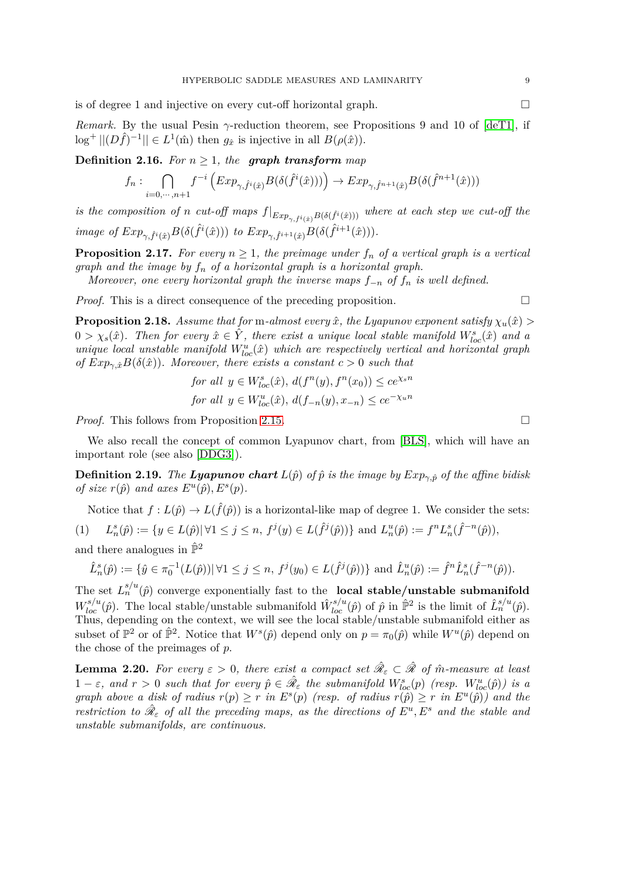is of degree 1 and injective on every cut-off horizontal graph.

*Remark.* By the usual Pesin *γ*-reduction theorem, see Propositions 9 and 10 of [\[deT1\]](#page-27-17), if  $\log^+ ||(D\hat{f})^{-1}|| \in L^1(\hat{m})$  then  $g_{\hat{x}}$  is injective in all  $B(\rho(\hat{x}))$ .

**Definition 2.16.** *For*  $n \geq 1$ *, the graph transform map* 

$$
f_n: \bigcap_{i=0,\cdots,n+1} f^{-i}\left( Exp_{\gamma,\hat{f}^i(\hat{x})}B(\delta(\hat{f}^i(\hat{x}))) \right) \to Exp_{\gamma,\hat{f}^{n+1}(\hat{x})}B(\delta(\hat{f}^{n+1}(\hat{x})))
$$

*is the composition of n cut-off maps*  $f|_{Exp_{\gamma, \hat{f}^i(\hat{x})}B(\delta(\hat{f}^i(\hat{x})))}$  where at each step we cut-off the image of  $Exp_{\gamma,\hat{f}^i(\hat{x})}B(\delta(\hat{f}^i(\hat{x})))$  to  $Exp_{\gamma,\hat{f}^{i+1}(\hat{x})}B(\delta(\hat{f}^{i+1}(\hat{x}))).$ 

**Proposition 2.17.** For every  $n \geq 1$ , the preimage under  $f_n$  of a vertical graph is a vertical *graph and the image by f<sup>n</sup> of a horizontal graph is a horizontal graph.*

*Moreover, one every horizontal graph the inverse maps f*−*<sup>n</sup> of f<sup>n</sup> is well defined.*

*Proof.* This is a direct consequence of the preceding proposition.

**Proposition 2.18.** *Assume that for* m-almost every  $\hat{x}$ , the Lyapunov exponent satisfy  $\chi_u(\hat{x})$  $0 > \chi_s(\hat{x})$ . Then for every  $\hat{x} \in \hat{Y}$ , there exist a unique local stable manifold  $W^s_{loc}(\hat{x})$  and a *unique local unstable manifold*  $W^u_{loc}(\hat{x})$  *which are respectively vertical and horizontal graph of*  $Exp_{\gamma, \hat{x}} B(\delta(\hat{x}))$ *. Moreover, there exists a constant*  $c > 0$  *such that* 

for all 
$$
y \in W^s_{loc}(\hat{x})
$$
,  $d(f^n(y), f^n(x_0)) \le ce^{\chi_s n}$   
for all  $y \in W^u_{loc}(\hat{x})$ ,  $d(f_{-n}(y), x_{-n}) \le ce^{-\chi_u n}$ 

*Proof.* This follows from Proposition [2.15.](#page-7-0) □

We also recall the concept of common Lyapunov chart, from [\[BLS\]](#page-27-11), which will have an important role (see also [\[DDG3\]](#page-27-12)).

**Definition 2.19.** *The Lyapunov chart*  $L(\hat{p})$  *of*  $\hat{p}$  *is the image by*  $Exp_{\gamma,\hat{p}}$  *of the affine bidisk of size*  $r(\hat{p})$  *and axes*  $E^u(\hat{p}), E^s(p)$ *.* 

<span id="page-8-0"></span>Notice that  $f: L(\hat{p}) \to L(\hat{f}(\hat{p}))$  is a horizontal-like map of degree 1. We consider the sets:  $(1)$  $S_n^s(\hat{p}) := \{ y \in L(\hat{p}) | \forall 1 \leq j \leq n, f^j(y) \in L(\hat{f}^j(\hat{p})) \}$  and  $L_n^u(\hat{p}) := f^n L_n^s(\hat{f}^{-n}(\hat{p})),$ 

and there analogues in  $\hat{\mathbb{P}}^2$ 

$$
\hat{L}_n^s(\hat{p}) := \{ \hat{y} \in \pi_0^{-1}(L(\hat{p})) | \forall 1 \le j \le n, \ f^j(y_0) \in L(\hat{f}^j(\hat{p})) \} \text{ and } \hat{L}_n^u(\hat{p}) := \hat{f}^n \hat{L}_n^s(\hat{f}^{-n}(\hat{p})).
$$

The set  $L_n^{s/u}(\hat{p})$  converge exponentially fast to the **local stable/unstable submanifold**  $W_{loc}^{s/u}(\hat{p})$ . The local stable/unstable submanifold  $\hat{W}_{loc}^{s/u}(\hat{p})$  of  $\hat{p}$  in  $\hat{\mathbb{P}}^2$  is the limit of  $\hat{L}_n^{s/u}(\hat{p})$ . Thus, depending on the context, we will see the local stable/unstable submanifold either as subset of  $\mathbb{P}^2$  or of  $\hat{\mathbb{P}}^2$ . Notice that  $W^s(\hat{p})$  depend only on  $p = \pi_0(\hat{p})$  while  $W^u(\hat{p})$  depend on the chose of the preimages of *p*.

**Lemma 2.20.** For every  $\varepsilon > 0$ , there exist a compact set  $\hat{\mathcal{R}}_{\varepsilon} \subset \hat{\mathcal{R}}$  of  $\hat{m}$ -measure at least  $1 - \varepsilon$ , and  $r > 0$  such that for every  $\hat{p} \in \hat{\mathcal{R}}_{\varepsilon}$  the submanifold  $W^s_{loc}(p)$  (resp.  $W^u_{loc}(\hat{p})$ ) is a *graph above a disk of radius*  $r(p) \geq r$  *in*  $E^s(p)$  (resp. of radius  $r(\hat{p}) \geq r$  *in*  $E^u(\hat{p})$ ) and the *restriction to*  $\hat{\mathcal{R}}_{\varepsilon}$  *of all the preceding maps, as the directions of*  $E^u, E^s$  *and the stable and unstable submanifolds, are continuous.*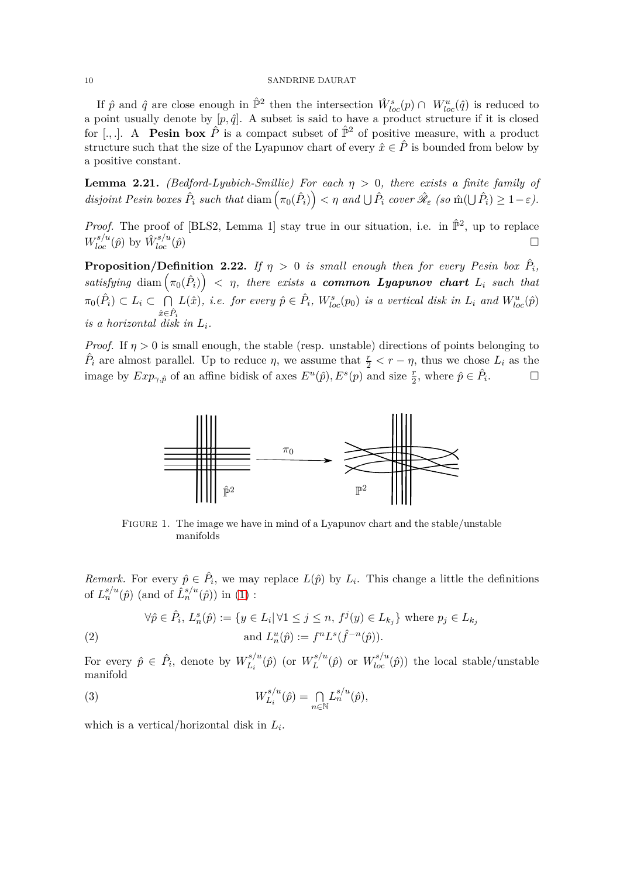If  $\hat{p}$  and  $\hat{q}$  are close enough in  $\hat{\mathbb{P}}^2$  then the intersection  $\hat{W}^s_{loc}(p) \cap W^u_{loc}(\hat{q})$  is reduced to a point usually denote by  $[p, \hat{q}]$ . A subset is said to have a product structure if it is closed for [., ]. A **Pesin box**  $\hat{P}$  is a compact subset of  $\hat{P}^2$  of positive measure, with a product structure such that the size of the Lyapunov chart of every  $\hat{x} \in \hat{P}$  is bounded from below by a positive constant.

**Lemma 2.21.** *(Bedford-Lyubich-Smillie) For each*  $η > 0$ *, there exists a finite family of* disjoint Pesin boxes  $\hat{P}_i$  such that  $\text{diam}\left(\pi_0(\hat{P}_i)\right) < \eta$  and  $\bigcup \hat{P}_i$  cover  $\hat{\mathscr{R}}_{\varepsilon}$  (so  $\hat{m}(\bigcup \hat{P}_i) \geq 1-\varepsilon$ ).

*Proof.* The proof of [BLS2, Lemma 1] stay true in our situation, i.e. in  $\hat{\mathbb{P}}^2$ , up to replace  $W^{s/u}_{loc}(\hat{p})$  by  $\hat{W}^{s/u}_{loc}$  $\int_{loc}^{s/u}(\hat{p})$ 

**Proposition/Definition 2.22.** *If*  $\eta > 0$  *is small enough then for every Pesin box*  $\hat{P}_i$ ,  $satisfying \ \text{diam}\left(\pi_0(\hat{P}_i)\right) \ < \ \eta, \ \text{there \ exists \ a \ common \ Lyapunov \ chart \ } L_i \ \ such \ that$  $\pi_0(\hat{P}_i) \subset L_i \subset \bigcap$  $\hat{x}$ ∈ $\hat{P}_i$  $L(\hat{x})$ , *i.e.* for every  $\hat{p} \in \hat{P}_i$ ,  $W^s_{loc}(p_0)$  *is a vertical disk in*  $L_i$  *and*  $W^u_{loc}(\hat{p})$ *is a horizontal disk in L<sup>i</sup> .*

*Proof.* If  $\eta > 0$  is small enough, the stable (resp. unstable) directions of points belonging to  $\hat{P}_i$  are almost parallel. Up to reduce  $\eta$ , we assume that  $\frac{r}{2} < r - \eta$ , thus we chose  $L_i$  as the image by  $Exp_{\gamma,\hat{p}}$  of an affine bidisk of axes  $E^u(\hat{p}), E^s(p)$  and size  $\frac{r}{2}$ , where  $\hat{p} \in \hat{P}_i$  $\Box$ 



Figure 1. The image we have in mind of a Lyapunov chart and the stable/unstable manifolds

*Remark.* For every  $\hat{p} \in \hat{P}_i$ , we may replace  $L(\hat{p})$  by  $L_i$ . This change a little the definitions of  $L_n^{s/u}(\hat{p})$  (and of  $\hat{L}_n^{s/u}(\hat{p})$ ) in [\(1\)](#page-8-0) :

<span id="page-9-0"></span>
$$
\forall \hat{p} \in \hat{P}_i, L_n^s(\hat{p}) := \{ y \in L_i | \forall 1 \le j \le n, f^j(y) \in L_{k_j} \} \text{ where } p_j \in L_{k_j}
$$
  
(2) and 
$$
L_n^u(\hat{p}) := f^n L^s(\hat{f}^{-n}(\hat{p})).
$$

For every  $\hat{p} \in \hat{P}_i$ , denote by  $W_{L_i}^{s/u}$  $L_i^{s/u}(\hat{p})$  (or  $W_L^{s/u}$  $L^{s/u}(\hat{p})$  or  $W^{s/u}_{loc}(\hat{p})$  the local stable/unstable manifold

(3) 
$$
W_{L_i}^{s/u}(\hat{p}) = \bigcap_{n \in \mathbb{N}} L_n^{s/u}(\hat{p}),
$$

which is a vertical/horizontal disk in *L<sup>i</sup>* .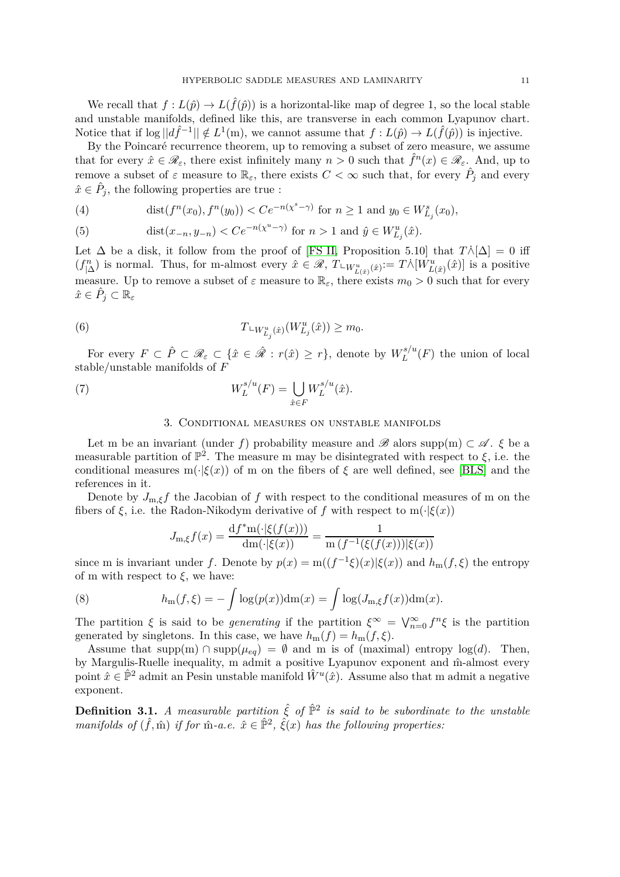We recall that  $f: L(\hat{p}) \to L(\hat{f}(\hat{p}))$  is a horizontal-like map of degree 1, so the local stable and unstable manifolds, defined like this, are transverse in each common Lyapunov chart. Notice that if  $\log ||d\hat{f}^{-1}|| \notin L^1(m)$ , we cannot assume that  $f: L(\hat{p}) \to L(\hat{f}(\hat{p}))$  is injective.

By the Poincaré recurrence theorem, up to removing a subset of zero measure, we assume that for every  $\hat{x} \in \mathscr{R}_{\varepsilon}$ , there exist infinitely many  $n > 0$  such that  $\hat{f}^n(x) \in \mathscr{R}_{\varepsilon}$ . And, up to remove a subset of  $\varepsilon$  measure to  $\mathbb{R}_{\varepsilon}$ , there exists  $C < \infty$  such that, for every  $\hat{P}_j$  and every  $\hat{x} \in \hat{P}_j$ , the following properties are true :

(4) 
$$
\text{dist}(f^n(x_0), f^n(y_0)) < Ce^{-n(x^s - \gamma)} \text{ for } n \ge 1 \text{ and } y_0 \in W^s_{L_j}(x_0),
$$

(5) 
$$
\text{dist}(x_{-n}, y_{-n}) < Ce^{-n(x^u - \gamma)} \text{ for } n > 1 \text{ and } \hat{y} \in W_{L_j}^u(\hat{x}).
$$

Let  $\Delta$  be a disk, it follow from the proof of [\[FS II,](#page-27-22) Proposition 5.10] that  $T\dot{\wedge}[\Delta] = 0$  iff  $(f_{|\Delta}^n)$  is normal. Thus, for m-almost every  $\hat{x} \in \mathscr{R}$ ,  $T \cup_{W_{L(\hat{x})}^u} (\hat{x}) = T \wedge [W_{L(\hat{x})}^u(\hat{x})]$  is a positive measure. Up to remove a subset of  $\varepsilon$  measure to  $\mathbb{R}_{\varepsilon}$ , there exists  $m_0 > 0$  such that for every  $\hat{x} \in \hat{P}_j \subset \mathbb{R}_{\varepsilon}$ 

<span id="page-10-1"></span>(6) 
$$
T \llcorner W^u_{L_j}(\hat{x}) (W^u_{L_j}(\hat{x})) \geq m_0.
$$

For every  $F \subset \hat{P} \subset \mathscr{R}_{\varepsilon} \subset \{\hat{x} \in \hat{\mathscr{R}} : r(\hat{x}) \geq r\}$ , denote by  $W_L^{s/u}$  $L^{s/u}(F)$  the union of local stable/unstable manifolds of *F*

(7) 
$$
W_L^{s/u}(F) = \bigcup_{\hat{x} \in F} W_L^{s/u}(\hat{x}).
$$

# 3. Conditional measures on unstable manifolds

Let m be an invariant (under f) probability measure and B alors supp(m)  $\subset \mathscr{A}$ .  $\xi$  be a measurable partition of  $\mathbb{P}^2$ . The measure m may be disintegrated with respect to  $\xi$ , i.e. the conditional measures m( $\cdot$  $(\xi(x))$  of m on the fibers of  $\xi$  are well defined, see [\[BLS\]](#page-27-11) and the references in it.

Denote by  $J_{m,\xi}f$  the Jacobian of  $f$  with respect to the conditional measures of m on the fibers of  $\xi$ , i.e. the Radon-Nikodym derivative of  $f$  with respect to m( $\cdot$ | $\xi(x)$ )

<span id="page-10-0"></span>
$$
J_{m,\xi}f(x) = \frac{\mathrm{d}f^* \mathrm{m}(\cdot | \xi(f(x)))}{\mathrm{d} \mathrm{m}(\cdot | \xi(x))} = \frac{1}{\mathrm{m}\left(f^{-1}(\xi(f(x))) | \xi(x)\right)}
$$

since m is invariant under *f*. Denote by  $p(x) = m((f^{-1}\xi)(x)|\xi(x))$  and  $h_m(f,\xi)$  the entropy of m with respect to  $\xi$ , we have:

(8) 
$$
h_{\mathbf{m}}(f,\xi) = -\int \log(p(x))\mathrm{dm}(x) = \int \log(J_{\mathbf{m},\xi}f(x))\mathrm{dm}(x).
$$

The partition  $\xi$  is said to be *generating* if the partition  $\xi^{\infty} = \bigvee_{n=0}^{\infty} f^n \xi$  is the partition generated by singletons. In this case, we have  $h_m(f) = h_m(f, \xi)$ .

Assume that supp $(m) \cap \text{supp}(\mu_{eq}) = \emptyset$  and m is of (maximal) entropy  $\log(d)$ . Then, by Margulis-Ruelle inequality, m admit a positive Lyapunov exponent and  $\hat{m}$ -almost every point  $\hat{x} \in \hat{\mathbb{P}}^2$  admit an Pesin unstable manifold  $\hat{W}^u(\hat{x})$ . Assume also that m admit a negative exponent.

**Definition 3.1.** *A measurable partition*  $\hat{\xi}$  *of*  $\hat{\mathbb{P}}^2$  *is said to be subordinate to the unstable manifolds of*  $(\hat{f}, \hat{m})$  *if for*  $\hat{m}$ *-a.e.*  $\hat{x} \in \hat{\mathbb{P}}^2$ ,  $\hat{\xi}(x)$  *has the following properties:*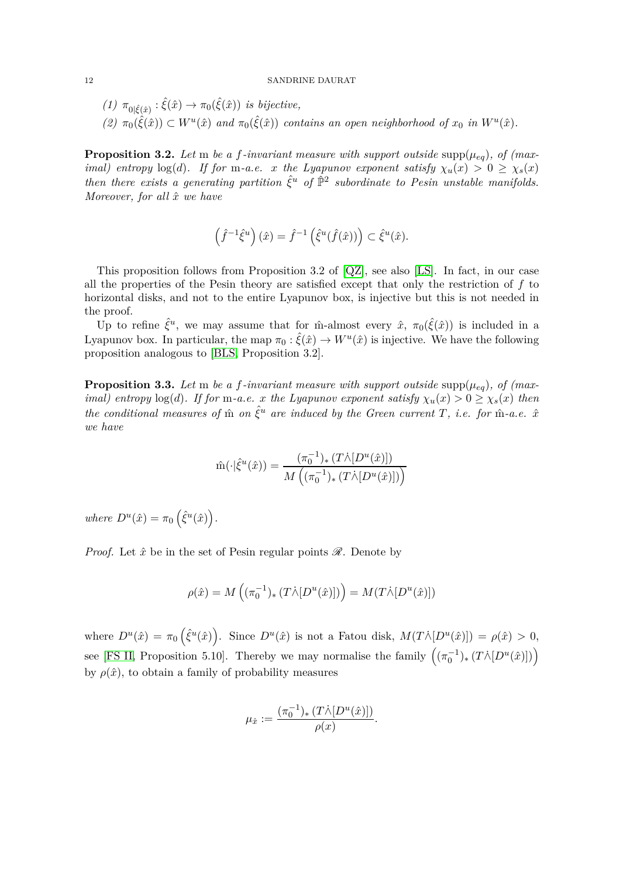\n- (1) 
$$
\pi_{0|\hat{\xi}(\hat{x})} : \hat{\xi}(\hat{x}) \to \pi_0(\hat{\xi}(\hat{x}))
$$
 is bijective,
\n- (2)  $\pi_0(\hat{\xi}(\hat{x})) \subset W^u(\hat{x})$  and  $\pi_0(\hat{\xi}(\hat{x}))$  contains an open neighborhood of  $x_0$  in  $W^u(\hat{x})$ .
\n

<span id="page-11-1"></span>**Proposition 3.2.** Let m be a f-invariant measure with support outside supp $(\mu_{eq})$ , of (max*imal)* entropy  $\log(d)$ . If for m-a.e. *x* the Lyapunov exponent satisfy  $\chi_u(x) > 0 \ge \chi_s(x)$ *then there exists a generating partition*  $\hat{\xi}^u$  *of*  $\hat{\mathbb{P}}^2$  *subordinate to Pesin unstable manifolds. Moreover, for all x*ˆ *we have*

$$
\left(\widehat f^{-1}\widehat \xi^u\right)(\widehat x)=\widehat f^{-1}\left(\widehat \xi^u(\widehat f(\widehat x))\right)\subset \widehat \xi^u(\widehat x).
$$

This proposition follows from Proposition 3.2 of [\[QZ\]](#page-27-23), see also [\[LS\]](#page-27-24). In fact, in our case all the properties of the Pesin theory are satisfied except that only the restriction of *f* to horizontal disks, and not to the entire Lyapunov box, is injective but this is not needed in the proof.

Up to refine  $\hat{\xi}^u$ , we may assume that for m-almost every  $\hat{x}$ ,  $\pi_0(\hat{\xi}(\hat{x}))$  is included in a Lyapunov box. In particular, the map  $\pi_0 : \hat{\xi}(\hat{x}) \to W^u(\hat{x})$  is injective. We have the following proposition analogous to [\[BLS,](#page-27-11) Proposition 3.2].

<span id="page-11-0"></span>**Proposition 3.3.** Let m be a f-invariant measure with support outside supp $(\mu_{eq})$ , of (max*imal)* entropy  $\log(d)$ *. If for* m-a.e. *x* the Lyapunov exponent satisfy  $\chi_u(x) > 0 \ge \chi_s(x)$  then *the conditional measures of*  $\hat{m}$  *on*  $\hat{\xi}^u$  *are induced by the Green current T*, *i.e. for*  $\hat{m}$ *-a.e.*  $\hat{x}$ *we have*

$$
\hat{\mathbf{m}}(\cdot|\hat{\xi}^u(\hat{x})) = \frac{(\pi_0^{-1})_*(T\dot{\wedge}[D^u(\hat{x})])}{M((\pi_0^{-1})_*(T\dot{\wedge}[D^u(\hat{x})]))}
$$

 $where D^u(\hat{x}) = \pi_0 \left( \hat{\xi}^u(\hat{x}) \right).$ 

*Proof.* Let  $\hat{x}$  be in the set of Pesin regular points  $\mathscr{R}$ . Denote by

$$
\rho(\hat{x}) = M\left((\pi_0^{-1})_* \left(T\dot{\wedge} [D^u(\hat{x})]\right)\right) = M(T\dot{\wedge} [D^u(\hat{x})])
$$

where  $D^u(\hat{x}) = \pi_0(\hat{\xi}^u(\hat{x}))$ . Since  $D^u(\hat{x})$  is not a Fatou disk,  $M(T\wedge [D^u(\hat{x})]) = \rho(\hat{x}) > 0$ , see [\[FS II,](#page-27-22) Proposition 5.10]. Thereby we may normalise the family  $((\pi_0^{-1})_*(T \wedge [D^u(\hat{x})]))$ by  $\rho(\hat{x})$ , to obtain a family of probability measures

$$
\mu_{\hat{x}} := \frac{(\pi_0^{-1})_* (T \wedge [D^u(\hat{x})])}{\rho(x)}.
$$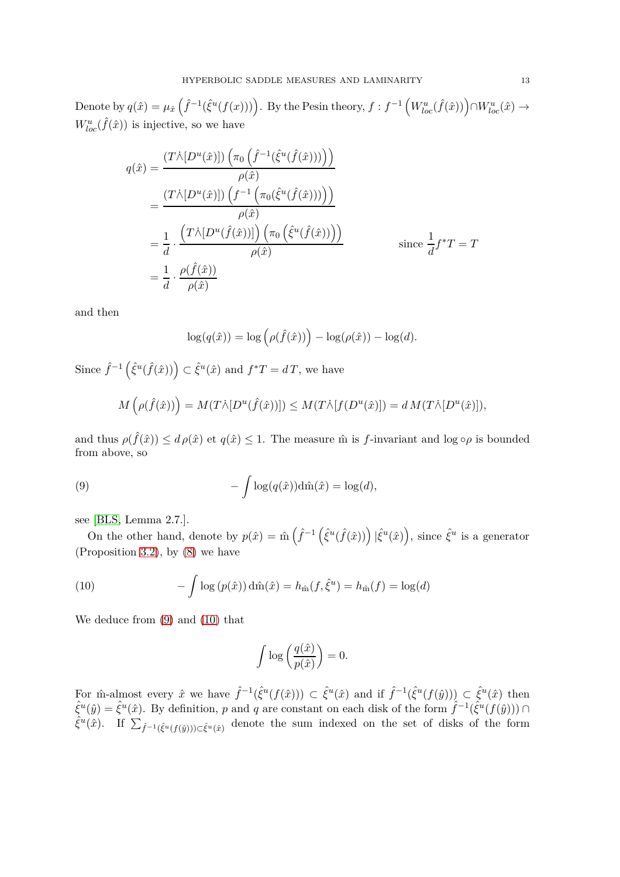Denote by  $q(\hat{x}) = \mu_{\hat{x}}(\hat{f}^{-1}(\hat{\xi}^u(f(x))))$ . By the Pesin theory,  $f : f^{-1}(W^u_{loc}(\hat{f}(\hat{x}))) \cap W^u_{loc}(\hat{x}) \rightarrow$  $W^u_{loc}(\hat{f}(\hat{x}))$  is injective, so we have

$$
q(\hat{x}) = \frac{(T \wedge [D^u(\hat{x})]) \left(\pi_0 \left(\hat{f}^{-1}(\hat{\xi}^u(\hat{f}(\hat{x})))\right)\right)}{\rho(\hat{x})}
$$
  
= 
$$
\frac{(T \wedge [D^u(\hat{x})]) \left(f^{-1} \left(\pi_0(\hat{\xi}^u(\hat{f}(\hat{x})))\right)\right)}{\rho(\hat{x})}
$$
  
= 
$$
\frac{1}{d} \cdot \frac{\left(T \wedge [D^u(\hat{f}(\hat{x}))]\right) \left(\pi_0 \left(\hat{\xi}^u(\hat{f}(\hat{x})))\right)}{\rho(\hat{x})}
$$
since 
$$
\frac{1}{d} f^*T = T
$$
  
= 
$$
\frac{1}{d} \cdot \frac{\rho(\hat{f}(\hat{x}))}{\rho(\hat{x})}
$$

and then

$$
\log(q(\hat{x})) = \log(\rho(\hat{f}(\hat{x}))) - \log(\rho(\hat{x})) - \log(d).
$$

Since  $\hat{f}^{-1}(\hat{\xi}^u(\hat{f}(\hat{x}))) \subset \hat{\xi}^u(\hat{x})$  and  $f^*T = dT$ , we have

<span id="page-12-0"></span>
$$
M(\rho(\hat{f}(\hat{x})) = M(T\dot{\wedge}[D^u(\hat{f}(\hat{x}))]) \leq M(T\dot{\wedge}[f(D^u(\hat{x})]) = d M(T\dot{\wedge}[D^u(\hat{x})]),
$$

and thus  $\rho(\hat{f}(\hat{x})) \leq d \rho(\hat{x})$  et  $q(\hat{x}) \leq 1$ . The measure m is *f*-invariant and log  $\circ \rho$  is bounded from above, so

(9) 
$$
-\int \log(q(\hat{x}))d\hat{m}(\hat{x}) = \log(d),
$$

see [\[BLS,](#page-27-11) Lemma 2.7.].

On the other hand, denote by  $p(\hat{x}) = \hat{m} \left( \hat{f}^{-1} \left( \hat{\xi}^u(\hat{f}(\hat{x})) \right) | \hat{\xi}^u(\hat{x}) \right)$ , since  $\hat{\xi}^u$  is a generator (Proposition [3.2\)](#page-11-1), by [\(8\)](#page-10-0) we have

<span id="page-12-1"></span>(10) 
$$
- \int \log (p(\hat{x})) \, d\hat{m}(\hat{x}) = h_{\hat{m}}(f, \hat{\xi}^u) = h_{\hat{m}}(f) = \log(d)
$$

We deduce from [\(9\)](#page-12-0) and [\(10\)](#page-12-1) that

$$
\int \log\left(\frac{q(\hat{x})}{p(\hat{x})}\right)=0.
$$

For m̂-almost every  $\hat{x}$  we have  $\hat{f}^{-1}(\hat{\xi}^u(f(\hat{x}))) \subset \hat{\xi}^u(\hat{x})$  and if  $\hat{f}^{-1}(\hat{\xi}^u(f(\hat{y}))) \subset \hat{\xi}^u(\hat{x})$  then  $\hat{\xi}^u(\hat{y}) = \hat{\xi}^u(\hat{x})$ . By definition, *p* and *q* are constant on each disk of the form  $\hat{f}^{-1}(\hat{\xi}^u(f(\hat{y}))) \cap$  $\hat{\xi}^u(\hat{x})$ . If  $\sum_{\hat{f}^{-1}(\hat{\xi}^u(f(\hat{y})))\subset \hat{\xi}^u(\hat{x})}$  denote the sum indexed on the set of disks of the form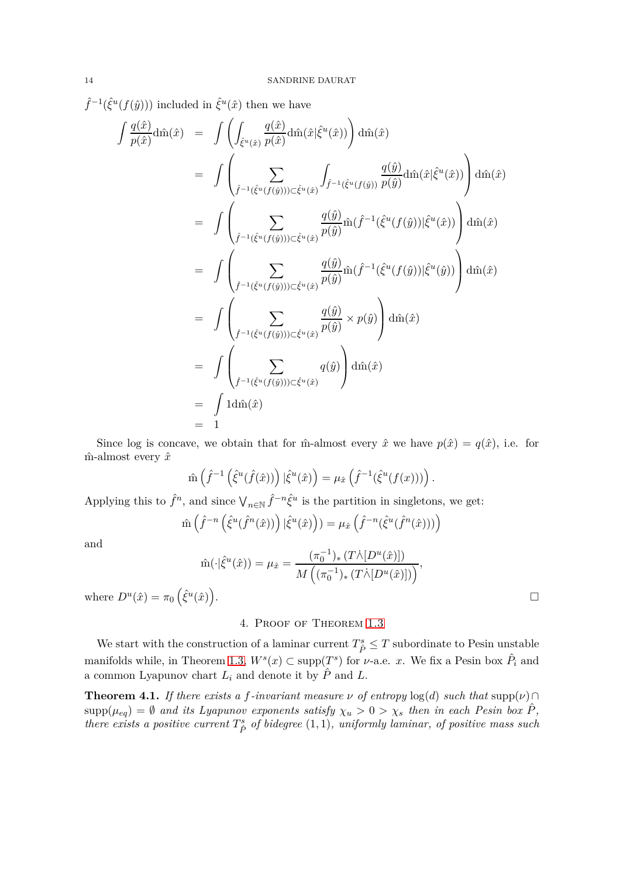$\hat{f}^{-1}(\hat{\xi}^u(f(\hat{y})))$  included in  $\hat{\xi}^u(\hat{x})$  then we have

$$
\int \frac{q(\hat{x})}{p(\hat{x})} \text{d}\hat{m}(\hat{x}) = \int \left( \int_{\hat{\xi}^u(\hat{x})} \frac{q(\hat{x})}{p(\hat{x})} \text{d}\hat{m}(\hat{x}|\hat{\xi}^u(\hat{x})) \right) \text{d}\hat{m}(\hat{x})
$$
\n
$$
= \int \left( \sum_{\hat{f}^{-1}(\hat{\xi}^u(f(\hat{y}))) \subset \hat{\xi}^u(\hat{x})} \int_{\hat{f}^{-1}(\hat{\xi}^u(f(\hat{y})))} \frac{q(\hat{y})}{p(\hat{y})} \text{d}\hat{m}(\hat{x}|\hat{\xi}^u(\hat{x})) \right) \text{d}\hat{m}(\hat{x})
$$
\n
$$
= \int \left( \sum_{\hat{f}^{-1}(\hat{\xi}^u(f(\hat{y}))) \subset \hat{\xi}^u(\hat{x})} \frac{q(\hat{y})}{p(\hat{y})} \hat{m}(\hat{f}^{-1}(\hat{\xi}^u(f(\hat{y})))|\hat{\xi}^u(\hat{x})) \right) \text{d}\hat{m}(\hat{x})
$$
\n
$$
= \int \left( \sum_{\hat{f}^{-1}(\hat{\xi}^u(f(\hat{y}))) \subset \hat{\xi}^u(\hat{x})} \frac{q(\hat{y})}{p(\hat{y})} \hat{m}(\hat{f}^{-1}(\hat{\xi}^u(f(\hat{y})))|\hat{\xi}^u(\hat{y})) \right) \text{d}\hat{m}(\hat{x})
$$
\n
$$
= \int \left( \sum_{\hat{f}^{-1}(\hat{\xi}^u(f(\hat{y}))) \subset \hat{\xi}^u(\hat{x})} \frac{q(\hat{y})}{p(\hat{y})} \times p(\hat{y}) \right) \text{d}\hat{m}(\hat{x})
$$
\n
$$
= \int \left( \sum_{\hat{f}^{-1}(\hat{\xi}^u(f(\hat{y}))) \subset \hat{\xi}^u(\hat{x})} q(\hat{y}) \right) \text{d}\hat{m}(\hat{x})
$$
\n
$$
= \int 1 \text{d}\hat{m}(\hat{x})
$$
\n
$$
= 1
$$

Since log is concave, we obtain that for  $\hat{m}$ -almost every  $\hat{x}$  we have  $p(\hat{x}) = q(\hat{x})$ , i.e. for  $\hat{m}$ -almost every  $\hat{x}$ 

$$
\hat{\mathbf{m}}\left(\hat{f}^{-1}\left(\hat{\xi}^u(\hat{f}(\hat{x}))\right)|\hat{\xi}^u(\hat{x})\right) = \mu_{\hat{x}}\left(\hat{f}^{-1}(\hat{\xi}^u(f(x)))\right).
$$

Applying this to  $\hat{f}^n$ , and since  $\bigvee_{n\in\mathbb{N}}\hat{f}^{-n}\hat{\xi}^u$  is the partition in singletons, we get:

$$
\hat{\mathbf{m}}\left(\hat{f}^{-n}\left(\hat{\xi}^u(\hat{f}^n(\hat{x}))\right)|\hat{\xi}^u(\hat{x})\right))=\mu_{\hat{x}}\left(\hat{f}^{-n}(\hat{\xi}^u(\hat{f}^n(\hat{x})))\right)
$$

and

$$
\hat{\mathrm{m}}(\cdot|\hat{\xi}^u(\hat{x})) = \mu_{\hat{x}} = \frac{(\pi_0^{-1})_*(T\dot{\wedge}[D^u(\hat{x})])}{M((\pi_0^{-1})_*(T\dot{\wedge}[D^u(\hat{x})]))},
$$

<span id="page-13-0"></span>where  $D^u(\hat{x}) = \pi_0 \left( \hat{\xi}^u(\hat{x}) \right)$ 

# 4. Proof of Theorem [1.3](#page-2-0)

We start with the construction of a laminar current  $T^s_{\hat{P}} \leq T$  subordinate to Pesin unstable manifolds while, in Theorem [1.3,](#page-2-0)  $W^s(x) \subset \text{supp}(T^s)$  for *v*-a.e. *x*. We fix a Pesin box  $\hat{P}_i$  and a common Lyapunov chart  $L_i$  and denote it by  $\hat{P}$  and  $L$ .

<span id="page-13-1"></span>**Theorem 4.1.** *If there exists a f-invariant measure*  $\nu$  *of entropy* log(*d*) *such that* supp( $\nu$ )∩  $\text{supp}(\mu_{eq}) = \emptyset$  *and its Lyapunov exponents satisfy*  $\chi_u > 0 > \chi_s$  *then in each Pesin box*  $\hat{P}$ *, there exists a positive current*  $T^s_{\hat{P}}$  *of bidegree*  $(1,1)$ *, uniformly laminar, of positive mass such* 

.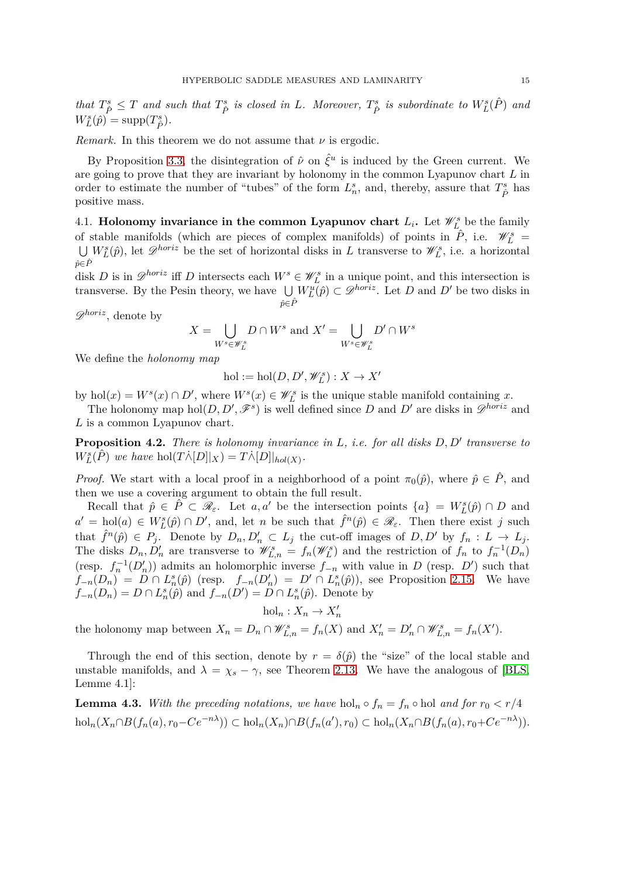that  $T^s_{\hat{P}} \leq T$  and such that  $T^s_{\hat{P}}$  is closed in L. Moreover,  $T^s_{\hat{P}}$  is subordinate to  $W^s_L(\hat{P})$  and  $W_L^s(\hat{p}) = \text{supp}(T^s_{\hat{P}}).$ 

*Remark.* In this theorem we do not assume that *ν* is ergodic.

By Proposition [3.3,](#page-11-0) the disintegration of  $\hat{\nu}$  on  $\hat{\xi}^u$  is induced by the Green current. We are going to prove that they are invariant by holonomy in the common Lyapunov chart *L* in order to estimate the number of "tubes" of the form  $L_n^s$ , and, thereby, assure that  $T_{\hat{P}}^s$  has positive mass.

4.1. **Holonomy invariance in the common Lyapunov chart**  $L_i$ **.** Let  $\mathscr{W}_{L_i}^s$  be the family of stable manifolds (which are pieces of complex manifolds) of points in  $\hat{P}$ , i.e.  $\mathcal{W}_L^s =$ <br> $\Box W_i^s(\hat{p})$ , let  $\mathcal{D}^{horiz}$  be the set of horizontal disks in *L* transverse to  $\mathcal{W}_i^s$ , i.e. a horizontal  $\hat{p} \in \hat{P}$  $W_L^s(\hat{p})$ , let  $\mathscr{D}^{horiz}$  be the set of horizontal disks in *L* transverse to  $\mathscr{W}_L^s$ , i.e. a horizontal

disk *D* is in  $\mathscr{D}^{horiz}$  iff *D* intersects each  $W^s \in \mathscr{W}_L^s$  in a unique point, and this intersection is transverse. By the Pesin theory, we have  $\bigcup$ *p*ˆ∈*P*ˆ  $W_L^u(\hat{p}) \subset \mathcal{D}^{horiz}$ . Let *D* and *D'* be two disks in

D*horiz*, denote by

$$
X = \bigcup_{W^s \in \mathscr{W}_L^s} D \cap W^s \text{ and } X' = \bigcup_{W^s \in \mathscr{W}_L^s} D' \cap W^s
$$

We define the *holonomy map*

$$
\mathrm{hol}:=\mathrm{hol}(D,D',\mathscr{W}_L^s):X\to X'
$$

by hol(*x*) =  $W<sup>s</sup>(x) \cap D'$ , where  $W<sup>s</sup>(x) \in \mathscr{W}<sup>s</sup><sub>L</sub>$  is the unique stable manifold containing *x*.

The holonomy map hol $(D, D', \mathscr{F}^s)$  is well defined since *D* and *D'* are disks in  $\mathscr{D}^{horiz}$  and *L* is a common Lyapunov chart.

<span id="page-14-0"></span>**Proposition 4.2.** *There is holonomy invariance in L, i.e. for all disks D, D*′ *transverse to*  $W_L^s(\hat{P})$  *we have* hol( $T\lambda[D]|_X$ ) =  $T\lambda[D]|_{hol(X)}$ .

*Proof.* We start with a local proof in a neighborhood of a point  $\pi_0(\hat{p})$ , where  $\hat{p} \in \hat{P}$ , and then we use a covering argument to obtain the full result.

Recall that  $\hat{p} \in \hat{P} \subset \mathcal{R}_{\varepsilon}$ . Let  $a, a'$  be the intersection points  $\{a\} = W_L^s(\hat{p}) \cap D$  and  $a' = hol(a) \in W_L^s(\hat{p}) \cap D'$ , and, let *n* be such that  $\hat{f}^n(\hat{p}) \in \mathscr{R}_{\varepsilon}$ . Then there exist *j* such that  $\hat{f}^n(\hat{p}) \in P_j$ . Denote by  $D_n, D'_n \subset L_j$  the cut-off images of  $D, D'$  by  $f_n: L \to L_j$ . The disks  $D_n, D'_n$  are transverse to  $\mathscr{W}_{L,n}^s = f_n(\mathscr{W}_L^s)$  and the restriction of  $f_n$  to  $f_n^{-1}(D_n)$ (resp.  $f_n^{-1}(D'_n)$ ) admits an holomorphic inverse  $f_{-n}$  with value in *D* (resp. *D'*) such that  $f_{-n}(D_n) = D \cap L_n^s(\hat{p})$  (resp.  $f_{-n}(D'_n) = D' \cap L_n^s(\hat{p})$ ), see Proposition [2.15.](#page-7-0) We have  $f_{-n}(D_n) = D \cap L_n^s(\hat{p})$  and  $f_{-n}(D') = D \cap L_n^s(\hat{p})$ . Denote by

 $hol_n: X_n \to X'_n$ 

the holonomy map between  $X_n = D_n \cap \mathscr{W}_{L,n}^s = f_n(X)$  and  $X'_n = D'_n \cap \mathscr{W}_{L,n}^s = f_n(X')$ .

Through the end of this section, denote by  $r = \delta(\hat{p})$  the "size" of the local stable and unstable manifolds, and  $\lambda = \chi_s - \gamma$ , see Theorem [2.13.](#page-6-0) We have the analogous of [\[BLS,](#page-27-11) Lemme 4.1]:

<span id="page-14-1"></span>**Lemma 4.3.** With the preceding notations, we have  $hol_n \circ f_n = f_n \circ hol \text{ and for } r_0 < r/4$  $hol_n(X_n \cap B(f_n(a), r_0 - Ce^{-n\lambda})) \subset hol_n(X_n) \cap B(f_n(a'), r_0) \subset hol_n(X_n \cap B(f_n(a), r_0 + Ce^{-n\lambda})).$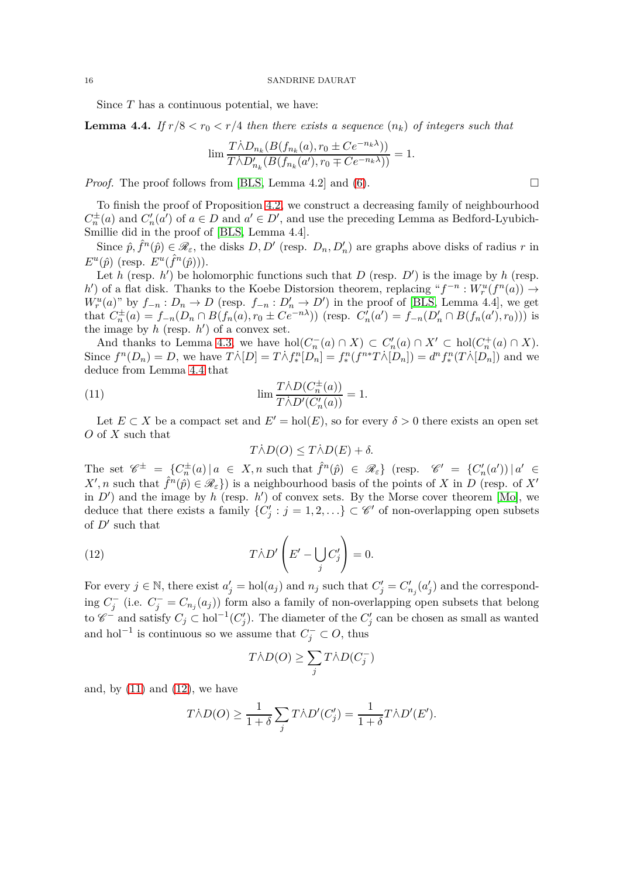Since *T* has a continuous potential, we have:

<span id="page-15-0"></span>**Lemma 4.4.** If  $r/8 < r_0 < r/4$  then there exists a sequence  $(n_k)$  of integers such that

$$
\lim \frac{T \dot{\wedge} D_{n_k}(B(f_{n_k}(a), r_0 \pm C e^{-n_k \lambda}))}{T \dot{\wedge} D'_{n_k}(B(f_{n_k}(a'), r_0 \mp C e^{-n_k \lambda}))} = 1.
$$

*Proof.* The proof follows from [\[BLS,](#page-27-11) Lemma 4.2] and [\(6\)](#page-10-1).  $\square$ 

To finish the proof of Proposition [4.2,](#page-14-0) we construct a decreasing family of neighbourhood  $C_n^{\pm}(a)$  and  $C'_n(a')$  of  $a \in D$  and  $a' \in D'$ , and use the preceding Lemma as Bedford-Lyubich-Smillie did in the proof of [\[BLS,](#page-27-11) Lemma 4.4].

Since  $\hat{p}, \hat{f}^n(\hat{p}) \in \mathscr{R}_{\varepsilon}$ , the disks  $D, D'$  (resp.  $D_n, D'_n$ ) are graphs above disks of radius *r* in  $E^u(\hat{p})$  (resp.  $E^u(\hat{f}^n(\hat{p})))$ ).

Let *h* (resp. *h'*) be holomorphic functions such that *D* (resp. *D'*) is the image by *h* (resp.  $h'$  of a flat disk. Thanks to the Koebe Distorsion theorem, replacing " $f^{-n}: W_r^u(f^n(a)) \to$  $W_r^u(a)$ " by  $f_{-n}: D_n \to D$  (resp.  $f_{-n}: D'_n \to D'$ ) in the proof of [\[BLS,](#page-27-11) Lemma 4.4], we get that  $C_n^{\pm}(a) = f_{-n}(D_n \cap B(f_n(a), r_0 \pm Ce^{-n\lambda}))$  (resp.  $C'_n(a') = f_{-n}(D'_n \cap B(f_n(a'), r_0)))$  is the image by  $h$  (resp.  $h'$ ) of a convex set.

And thanks to Lemma [4.3,](#page-14-1) we have  $hol(C_n^-(a) \cap X) \subset C'_n(a) \cap X' \subset hol(C_n^+(a) \cap X)$ . Since  $f^{n}(D_{n}) = D$ , we have  $T\dot{\wedge}[D] = T\dot{\wedge}f_{*}^{n}[D_{n}] = f_{*}^{n}(f^{n*}T\dot{\wedge}[D_{n}]) = d^{n}f_{*}^{n}(T\dot{\wedge}[D_{n}])$  and we deduce from Lemma [4.4](#page-15-0) that

(11) 
$$
\lim \frac{T \dot{\wedge} D(C_n^{\pm}(a))}{T \dot{\wedge} D'(C'_n(a))} = 1.
$$

Let  $E \subset X$  be a compact set and  $E' = hol(E)$ , so for every  $\delta > 0$  there exists an open set *O* of *X* such that

<span id="page-15-1"></span>
$$
T\dot{\wedge}D(O) \leq T\dot{\wedge}D(E) + \delta.
$$

The set  $\mathscr{C}^{\pm} = \{C_n^{\pm}(a) \mid a \in X, n \text{ such that } \hat{f}^n(\hat{p}) \in \mathscr{R}_{\varepsilon} \}$  (resp.  $\mathscr{C}' = \{C_n'(a') \mid a' \in X, a \in X, n \text{ such that } \hat{f}^n(\hat{p}) \in \mathscr{R}_{\varepsilon} \}$  $X', n$  such that  $\hat{f}^n(\hat{p}) \in \mathscr{R}_{\varepsilon}$ ) is a neighbourhood basis of the points of *X* in *D* (resp. of *X'* in  $D'$  and the image by *h* (resp. *h'*) of convex sets. By the Morse cover theorem [\[Mo\]](#page-27-25), we deduce that there exists a family  $\{C'_j : j = 1, 2, ...\} \subset \mathscr{C}'$  of non-overlapping open subsets of *D*′ such that

(12) 
$$
T\dot{\wedge}D'\left(E'-\bigcup_{j}C'_{j}\right)=0.
$$

For every  $j \in \mathbb{N}$ , there exist  $a'_j = hol(a_j)$  and  $n_j$  such that  $C'_j = C'_{n_j}(a'_j)$  and the corresponding  $C_j^-$  (i.e.  $C_j^- = C_{n_j}(a_j)$ ) form also a family of non-overlapping open subsets that belong to  $\mathscr{C}^-$  and satisfy  $C_j \subset \text{hol}^{-1}(C'_j)$ . The diameter of the  $C'_j$  can be chosen as small as wanted and hol<sup>-1</sup> is continuous so we assume that  $C_j^- \subset O$ , thus

<span id="page-15-2"></span>
$$
T \dot{\wedge} D(O) \geq \sum_j T \dot{\wedge} D(C_j^-)
$$

and, by  $(11)$  and  $(12)$ , we have

$$
T\dot{\wedge} D(O) \ge \frac{1}{1+\delta}\sum_j T\dot{\wedge} D'(C'_j) = \frac{1}{1+\delta}T\dot{\wedge} D'(E').
$$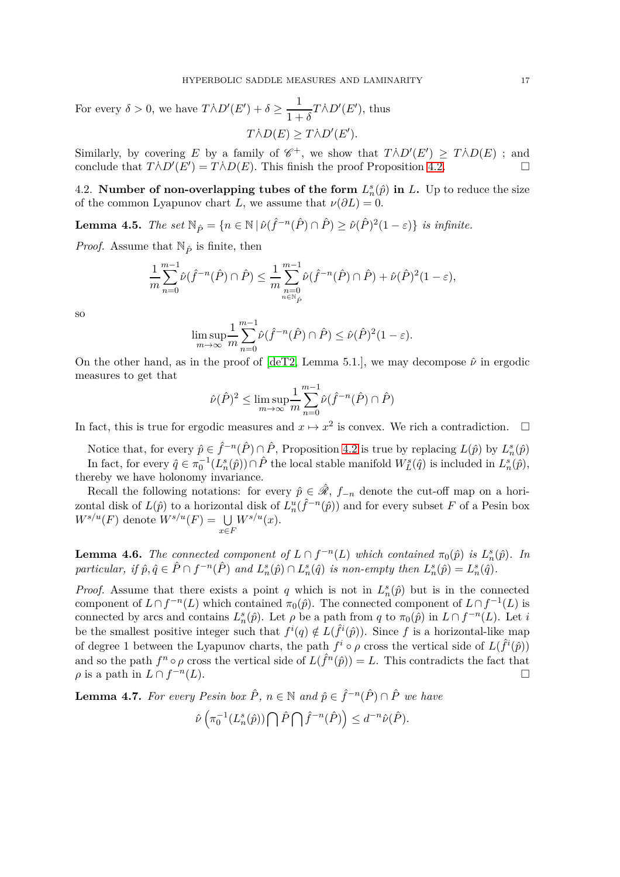For every  $\delta > 0$ , we have  $T \dot{\wedge} D'(E') + \delta \geq \frac{1}{1-\delta}$  $\frac{1}{1+\delta}T\dot{\wedge}D'(E'),$  thus  $T\dot{\wedge}D(E) \geq T\dot{\wedge}D'(E').$ 

Similarly, by covering *E* by a family of  $\mathscr{C}^+$ , we show that  $T\overline{\wedge}D'(E') \geq T\overline{\wedge}D(E)$ ; and conclude that  $T \wedge D'(E') = T \wedge D(E)$ . This finish the proof Proposition [4.2.](#page-14-0)

4.2. **Number of non-overlapping tubes of the form**  $L_n^s(\hat{p})$  **in L. Up to reduce the size** of the common Lyapunov chart *L*, we assume that  $\nu(\partial L) = 0$ .

**Lemma 4.5.** *The set*  $\mathbb{N}_{\hat{P}} = \{n \in \mathbb{N} \mid \hat{\nu}(\hat{f}^{-n}(\hat{P}) \cap \hat{P}) \ge \hat{\nu}(\hat{P})^2(1-\varepsilon)\}\$ is infinite.

*Proof.* Assume that  $\mathbb{N}_{\hat{P}}$  is finite, then

$$
\frac{1}{m}\sum_{n=0}^{m-1}\hat{\nu}(\hat{f}^{-n}(\hat{P})\cap \hat{P}) \leq \frac{1}{m}\sum_{\substack{n=0\\n\in\mathbb{N}_{\hat{P}}}}^{m-1}\hat{\nu}(\hat{f}^{-n}(\hat{P})\cap \hat{P}) + \hat{\nu}(\hat{P})^2(1-\varepsilon),
$$

so

$$
\limsup_{m \to \infty} \frac{1}{m} \sum_{n=0}^{m-1} \hat{\nu}(\hat{f}^{-n}(\hat{P}) \cap \hat{P}) \leq \hat{\nu}(\hat{P})^2 (1 - \varepsilon).
$$

On the other hand, as in the proof of  $\text{deT2}$ , Lemma 5.1., we may decompose  $\hat{\nu}$  in ergodic measures to get that

$$
\hat{\nu}(\hat{P})^2 \le \limsup_{m \to \infty} \frac{1}{m} \sum_{n=0}^{m-1} \hat{\nu}(\hat{f}^{-n}(\hat{P}) \cap \hat{P})
$$

In fact, this is true for ergodic measures and  $x \mapsto x^2$  is convex. We rich a contradiction.  $\Box$ 

Notice that, for every  $\hat{p} \in \hat{f}^{-n}(\hat{P}) \cap \hat{P}$ , Proposition [4.2](#page-14-0) is true by replacing  $L(\hat{p})$  by  $L_n^s(\hat{p})$ In fact, for every  $\hat{q} \in \pi_0^{-1}(L_n^s(\hat{p})) \cap \hat{P}$  the local stable manifold  $W_L^s(\hat{q})$  is included in  $L_n^s(\hat{p})$ , thereby we have holonomy invariance.

Recall the following notations: for every  $\hat{p} \in \hat{\mathcal{R}}$ ,  $f_{-n}$  denote the cut-off map on a horizontal disk of  $L(\hat{p})$  to a horizontal disk of  $L_n^u(\hat{f}^{-n}(\hat{p}))$  and for every subset *F* of a Pesin box  $W^{s/u}(F)$  denote  $W^{s/u}(F) = \bigcup$ *x*∈*F*  $W^{s/u}(x)$ .

<span id="page-16-0"></span>**Lemma 4.6.** *The connected component of*  $L \cap f^{-n}(L)$  *which contained*  $\pi_0(\hat{p})$  *is*  $L_n^s(\hat{p})$ *. In* particular, if  $\hat{p}, \hat{q} \in \hat{P} \cap f^{-n}(\hat{P})$  and  $L_n^s(\hat{p}) \cap L_n^s(\hat{q})$  is non-empty then  $L_n^s(\hat{p}) = L_n^s(\hat{q})$ .

*Proof.* Assume that there exists a point *q* which is not in  $L_n^s(\hat{p})$  but is in the connected component of  $L \cap f^{-n}(L)$  which contained  $\pi_0(\hat{p})$ . The connected component of  $L \cap f^{-1}(L)$  is connected by arcs and contains  $L_n^s(\hat{p})$ . Let  $\rho$  be a path from  $q$  to  $\pi_0(\hat{p})$  in  $L \cap f^{-n}(L)$ . Let *i* be the smallest positive integer such that  $f^i(q) \notin L(\hat{f}^i(\hat{p}))$ . Since f is a horizontal-like map of degree 1 between the Lyapunov charts, the path  $f^i \circ \rho$  cross the vertical side of  $L(\hat{f}^i(\hat{p}))$ and so the path  $f^n \circ \rho$  cross the vertical side of  $L(\hat{f}^n(\hat{p})) = L$ . This contradicts the fact that  $\rho$  is a path in  $L \cap f^{-n}$ (*L*).

<span id="page-16-1"></span>**Lemma 4.7.** For every Pesin box  $\hat{P}$ ,  $n \in \mathbb{N}$  and  $\hat{p} \in \hat{f}^{-n}(\hat{P}) \cap \hat{P}$  we have

$$
\hat{\nu}\left(\pi_0^{-1}(L_n^s(\hat{p}))\bigcap \hat{P}\bigcap \hat{f}^{-n}(\hat{P})\right)\leq d^{-n}\hat{\nu}(\hat{P}).
$$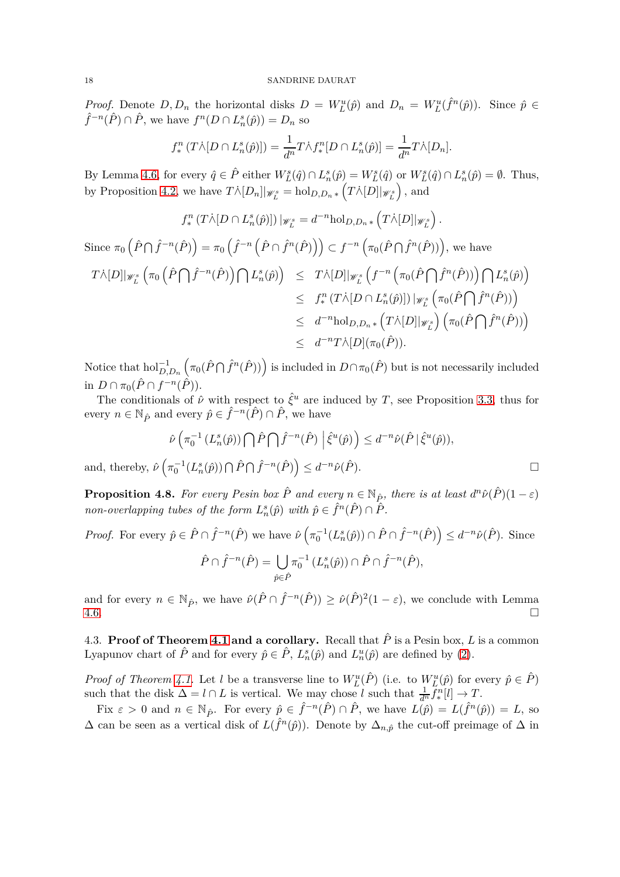*Proof.* Denote  $D, D_n$  the horizontal disks  $D = W_L^u(\hat{p})$  and  $D_n = W_L^u(\hat{f}^n(\hat{p}))$ . Since  $\hat{p} \in$  $\hat{f}^{-n}(\hat{P}) \cap \hat{P}$ , we have  $f^{n}(D \cap L_n^s(\hat{p})) = D_n$  so

$$
f_*^n(T\dot{\wedge} [D \cap L_n^s(\hat{p})]) = \frac{1}{d^n} T \dot{\wedge} f_*^n[D \cap L_n^s(\hat{p})] = \frac{1}{d^n} T \dot{\wedge} [D_n].
$$

By Lemma [4.6,](#page-16-0) for every  $\hat{q} \in \hat{P}$  either  $W_L^s(\hat{q}) \cap L_n^s(\hat{p}) = W_L^s(\hat{q})$  or  $W_L^s(\hat{q}) \cap L_n^s(\hat{p}) = \emptyset$ . Thus, by Proposition [4.2,](#page-14-0) we have  $T \wedge [D_n] |_{\mathscr{W}_L^s} = \text{hol}_{D,D_n} \left( T \wedge [D] |_{\mathscr{W}_L^s} \right)$ *,* and

$$
f_*^n(T \wedge [D \cap L_n^s(\hat{p})]) \, |_{\mathscr{W}_L^s} = d^{-n} \text{hol}_{D,D_n*} \left( T \wedge [D] \big|_{\mathscr{W}_L^s} \right).
$$
  
since  $\pi_0 \left( \hat{P} \cap \hat{f}^{-n}(\hat{P}) \right) = \pi_0 \left( \hat{f}^{-n} \left( \hat{P} \cap \hat{f}^{n}(\hat{P}) \right) \right) \subset f^{-n} \left( \pi_0(\hat{P} \cap \hat{f}^{n}(\hat{P})) \right),$  we have  

$$
T \wedge [D] \big|_{\mathscr{W}_L^s} \left( \pi_0 \left( \hat{P} \cap \hat{f}^{-n}(\hat{P}) \right) \cap L_n^s(\hat{p}) \right) \leq T \wedge [D] \big|_{\mathscr{W}_L^s} \left( f^{-n} \left( \pi_0(\hat{P} \cap \hat{f}^{n}(\hat{P})) \right) \cap L_n^s(\hat{p}) \right)
$$

$$
\leq f_*^n \left( T \wedge [D \cap L_n^s(\hat{p})] \right) \big|_{\mathscr{W}_L^s} \left( \pi_0(\hat{P} \cap \hat{f}^{n}(\hat{P})) \right)
$$

$$
\leq d^{-n} \text{hol}_{D,D_n*} \left( T \wedge [D] \big|_{\mathscr{W}_L^s} \right) \left( \pi_0(\hat{P} \cap \hat{f}^{n}(\hat{P})) \right)
$$

$$
\leq d^{-n} T \wedge [D] \left( \pi_0(\hat{P}) \right).
$$

Notice that  $hol_{D,D_n}^{-1}$  $(\pi_0(\hat{P} \cap \hat{f}^n(\hat{P}))$  is included in  $D \cap \pi_0(\hat{P})$  but is not necessarily included in  $D \cap \pi_0(\hat{P} \cap f^{-n}(\hat{P}))$ .

The conditionals of  $\hat{\nu}$  with respect to  $\hat{\xi}^u$  are induced by *T*, see Proposition [3.3,](#page-11-0) thus for every  $n \in \mathbb{N}_{\hat{P}}$  and every  $\hat{p} \in \hat{f}^{-n}(\hat{P}) \cap \hat{P}$ , we have

$$
\hat{\nu}\left(\pi_0^{-1}\left(L_n^s(\hat{p})\right)\bigcap \hat{P}\bigcap \hat{f}^{-n}(\hat{P})\middle|\hat{\xi}^u(\hat{p})\right) \leq d^{-n}\hat{\nu}(\hat{P}|\hat{\xi}^u(\hat{p})),
$$
  
and, thereby, 
$$
\hat{\nu}\left(\pi_0^{-1}(L_n^s(\hat{p}))\bigcap \hat{P}\bigcap \hat{f}^{-n}(\hat{P})\right) \leq d^{-n}\hat{\nu}(\hat{P}).
$$

<span id="page-17-0"></span>**Proposition 4.8.** For every Pesin box  $\hat{P}$  and every  $n \in \mathbb{N}_{\hat{P}}$ , there is at least  $d^n\hat{\nu}(\hat{P})(1-\varepsilon)$ *non-overlapping tubes of the form*  $L_n^s(\hat{p})$  *with*  $\hat{p} \in \hat{f}^n(\hat{P}) \cap \hat{P}$ *.* 

*Proof.* For every  $\hat{p} \in \hat{P} \cap \hat{f}^{-n}(\hat{P})$  we have  $\hat{\nu} \left( \pi_0^{-1}(L_n^s(\hat{p})) \cap \hat{P} \cap \hat{f}^{-n}(\hat{P}) \right) \leq d^{-n}\hat{\nu}(\hat{P})$ . Since  $\hat{P} \cap \hat{f}^{-n}(\hat{P}) = \begin{pmatrix} \end{pmatrix}$ *p*ˆ∈*P*ˆ  $\pi_0^{-1}(L_n^s(\hat{p})) \cap \hat{P} \cap \hat{f}^{-n}(\hat{P}),$ 

and for every  $n \in \mathbb{N}_{\hat{P}}$ , we have  $\hat{\nu}(\hat{P} \cap \hat{f}^{-n}(\hat{P})) \geq \hat{\nu}(\hat{P})^2(1-\varepsilon)$ , we conclude with Lemma  $4.6.$ 

4.3. **Proof of Theorem [4.1](#page-13-1) and a corollary.** Recall that  $\hat{P}$  is a Pesin box, *L* is a common Lyapunov chart of  $\hat{P}$  and for every  $\hat{p} \in \hat{P}$ ,  $L_n^s(\hat{p})$  and  $L_n^u(\hat{p})$  are defined by [\(2\)](#page-9-0).

*Proof of Theorem [4.1.](#page-13-1)* Let *l* be a transverse line to  $W_L^u(\hat{P})$  (i.e. to  $W_L^u(\hat{p})$  for every  $\hat{p} \in \hat{P}$ ) such that the disk  $\Delta = l \cap L$  is vertical. We may chose *l* such that  $\frac{1}{d^n} f_*^n[l] \to T$ .

Fix  $\varepsilon > 0$  and  $n \in \mathbb{N}_{\hat{P}}$ . For every  $\hat{p} \in \hat{f}^{-n}(\hat{P}) \cap \hat{P}$ , we have  $L(\hat{p}) = L(\hat{f}^{n}(\hat{p})) = L$ , so  $\Delta$  can be seen as a vertical disk of  $L(\hat{f}^n(\hat{p}))$ . Denote by  $\Delta_{n,\hat{p}}$  the cut-off preimage of  $\Delta$  in

Since *π*<sup>0</sup>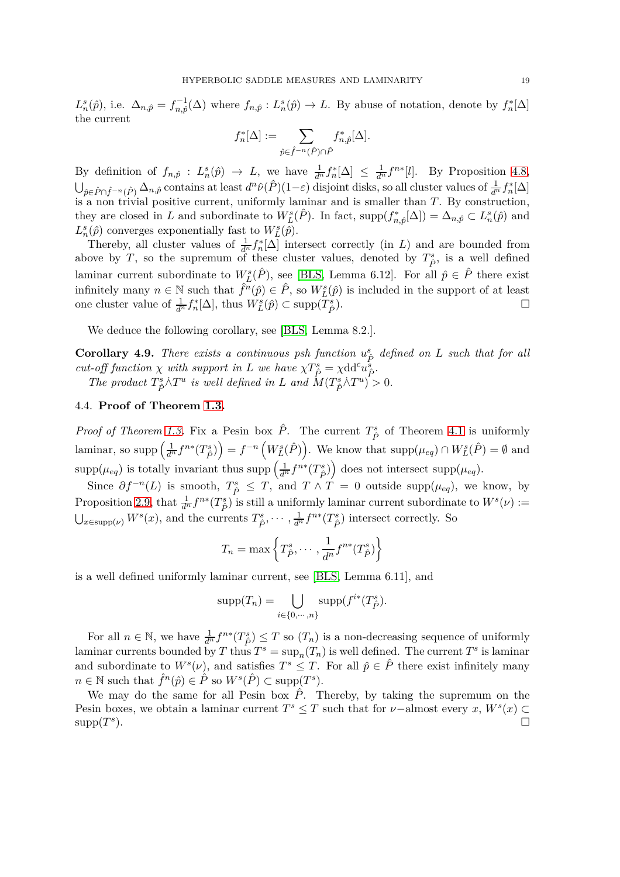$L_n^s(\hat{p})$ , i.e.  $\Delta_{n,\hat{p}} = f_{n,\hat{p}}^{-1}(\Delta)$  where  $f_{n,\hat{p}} : L_n^s(\hat{p}) \to L$ . By abuse of notation, denote by  $f_n^*[\Delta]$ the current

$$
f_n^*[\Delta] := \sum_{\hat{p}\in \hat{f}^{-n}(\hat{P})\cap \hat{P}} f_{n,\hat{p}}^*[\Delta].
$$

By definition of  $f_{n,\hat{p}}: L_n^s(\hat{p}) \to L$ , we have  $\frac{1}{d^n} f_n^*[\Delta] \leq \frac{1}{d^n} f^{n*}[l]$ . By Proposition [4.8,](#page-17-0)  $\bigcup_{\hat{p}\in \hat{P}\cap \hat{f}^{-n}(\hat{P})} \Delta_{n,\hat{p}}$  contains at least  $d^n\hat{\nu}(\hat{P})(1-\varepsilon)$  disjoint disks, so all cluster values of  $\frac{1}{d^n}f_n^*[\Delta]$ is a non trivial positive current, uniformly laminar and is smaller than *T*. By construction, they are closed in *L* and subordinate to  $W_L^s(\hat{P})$ . In fact, supp $(f_{n,\hat{p}}^*[\Delta]) = \Delta_{n,\hat{p}} \subset L_n^s(\hat{p})$  and  $L_n^s(\hat{p})$  converges exponentially fast to  $W_L^s(\hat{p})$ .

Thereby, all cluster values of  $\frac{1}{d^n} f_n^* [\Delta]$  intersect correctly (in *L*) and are bounded from above by *T*, so the supremum of these cluster values, denoted by  $T^s_{\hat{P}}$ , is a well defined laminar current subordinate to  $W_L^s(\hat{P})$ , see [\[BLS,](#page-27-11) Lemma 6.12]. For all  $\hat{p} \in \hat{P}$  there exist infinitely many  $n \in \mathbb{N}$  such that  $\hat{f}^n(\hat{p}) \in \hat{P}$ , so  $W_L^s(\hat{p})$  is included in the support of at least one cluster value of  $\frac{1}{d^n} f_n^*[\Delta]$ , thus  $W_L^s(\hat{p}) \subset \text{supp}(T_{\hat{P}}^s)$ ).  $\qquad \qquad \Box$ 

We deduce the following corollary, see [\[BLS,](#page-27-11) Lemma 8.2.].

**Corollary 4.9.** *There exists a continuous psh function*  $u_{\hat{P}}^s$  defined on *L* such that for all *cut-off function*  $\chi$  *with support in L we have*  $\chi T_P^s = \chi dd^c u_P^s$ .

*The product*  $T^s_{\hat{P}} \hat{\wedge} T^u$  *is well defined in L and*  $\hat{M}(T^s_{\hat{P}} \hat{\wedge} T^u) > 0$ *.* 

# 4.4. **Proof of Theorem [1.3.](#page-2-0)**

*Proof of Theorem [1.3.](#page-2-0)* Fix a Pesin box  $\hat{P}$ . The current  $T^s_{\hat{P}}$  of Theorem [4.1](#page-13-1) is uniformly laminar, so supp  $\left(\frac{1}{d^n}f^{n*}(T_{\hat{P}}^s)\right) = f^{-n}\left(W_L^s(\hat{P})\right)$ . We know that  $\text{supp}(\mu_{eq}) \cap W_L^s(\hat{P}) = \emptyset$  and  $\sup p(\mu_{eq})$  is totally invariant thus  $\sup p\left(\frac{1}{d^n}f^{n*}(T^s_{\hat{P}})\right)$  does not intersect  $\sup p(\mu_{eq})$ .

Since  $\partial f^{-n}(L)$  is smooth,  $T^s_{\hat{P}} \leq T$ , and  $T \wedge T = 0$  outside supp $(\mu_{eq})$ , we know, by Proposition [2.9,](#page-5-1) that  $\frac{1}{d^n} f^{n*}(T^s_{\hat{P}})$  is still a uniformly laminar current subordinate to  $W^s(\nu) :=$  $\bigcup_{x \in \text{supp}(\nu)} W^s(x)$ , and the currents  $T^s_{\hat{P}}, \dots, \frac{1}{d^n} f^{n*}(T^s_{\hat{P}})$  intersect correctly. So

$$
T_n = \max\left\{T_{\hat{P}}^s, \cdots, \frac{1}{d^n}f^{n*}(T_{\hat{P}}^s)\right\}
$$

is a well defined uniformly laminar current, see [\[BLS,](#page-27-11) Lemma 6.11], and

$$
supp(T_n) = \bigcup_{i \in \{0, \cdots, n\}} supp(f^{i*}(T_{\hat{P}}^s).
$$

For all  $n \in \mathbb{N}$ , we have  $\frac{1}{d^n} f^{n*}(T^s_{\hat{P}}) \leq T$  so  $(T_n)$  is a non-decreasing sequence of uniformly laminar currents bounded by *T* thus  $T^s = \sup_n(T_n)$  is well defined. The current  $T^s$  is laminar and subordinate to  $W^s(\nu)$ , and satisfies  $T^s \leq T$ . For all  $\hat{p} \in \hat{P}$  there exist infinitely many  $n \in \mathbb{N}$  such that  $\hat{f}^n(\hat{p}) \in \hat{P}$  so  $W^s(\hat{P}) \subset \text{supp}(T^s)$ .

We may do the same for all Pesin box  $\hat{P}$ . Thereby, by taking the supremum on the Pesin boxes, we obtain a laminar current  $T^s \leq T$  such that for *v*-almost every  $x, W^s(x) \subset$ supp(*T s* ).  $\Box$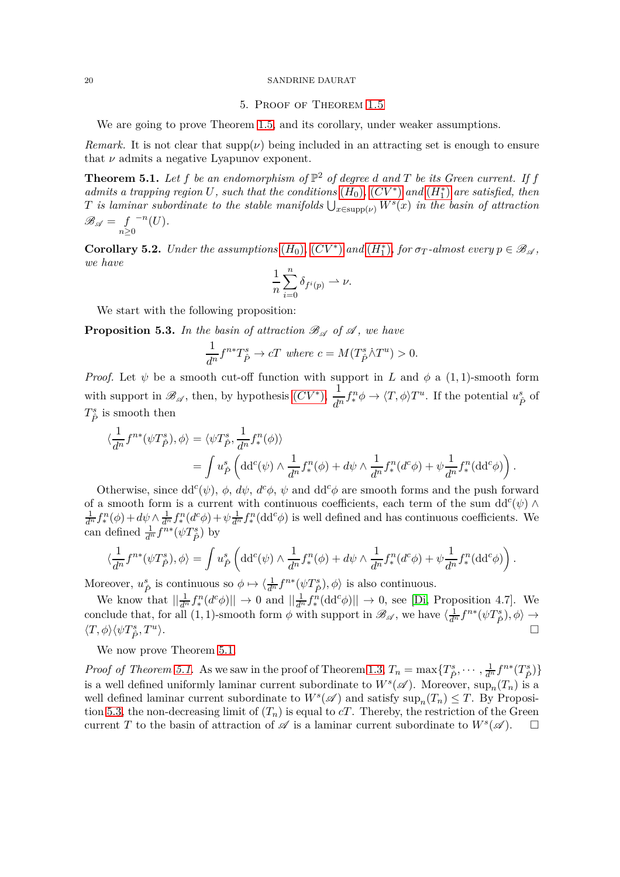# 5. Proof of Theorem [1.5](#page-2-1)

We are going to prove Theorem [1.5,](#page-2-1) and its corollary, under weaker assumptions.

*Remark.* It is not clear that  $supp(\nu)$  being included in an attracting set is enough to ensure that  $\nu$  admits a negative Lyapunov exponent.

<span id="page-19-1"></span>**Theorem 5.1.** Let  $f$  be an endomorphism of  $\mathbb{P}^2$  of degree  $d$  and  $T$  be its Green current. If  $f$  $admits a trapping region U$ , such that the conditions  $(H_0)$  $(H_0)$  $(H_0)$ ,  $(CV^*)$  $(CV^*)$  $(CV^*)$  and  $(H_1^*)$  are satisfied, then *T is laminar subordinate to the stable manifolds*  $\bigcup_{x \in \text{supp}(\nu)} W^s(x)$  *in the basin of attraction*  $\mathscr{B}_{\mathscr{A}} = f$ *n*≥0 −*n* (*U*)*.*

<span id="page-19-0"></span>**Corollary 5.2.** *Under the assumptions*  $(H_0)$  $(H_0)$  $(H_0)$ ,  $(CV^*)$  $(CV^*)$  $(CV^*)$  *and*  $(H_1^*)$ , *for*  $\sigma_T$ -*almost every*  $p \in \mathcal{B}_{\mathcal{A}}$ , *we have*

$$
\frac{1}{n}\sum_{i=0}^n \delta_{f^i(p)} \rightharpoonup \nu.
$$

We start with the following proposition:

<span id="page-19-2"></span>**Proposition 5.3.** In the basin of attraction  $\mathcal{B}_{\mathcal{A}}$  of  $\mathcal{A}$ , we have

$$
\frac{1}{d^n} f^{n*} T_{\hat{P}}^s \to cT \text{ where } c = M(T_{\hat{P}}^s \dot{\wedge} T^u) > 0.
$$

*Proof.* Let  $\psi$  be a smooth cut-off function with support in *L* and  $\phi$  a (1,1)-smooth form with support in  $\mathscr{B}_{\mathscr{A}}$ , then, by hypothesis  $(CV^*)$  $(CV^*)$  $(CV^*)$ ,  $\frac{1}{d^n} f^n_* \phi \to \langle T, \phi \rangle T^u$ . If the potential  $u^s_{\hat{P}}$  of  $T^s_{\hat{P}}$  is smooth then

$$
\langle \frac{1}{d^n} f^{n*}(\psi T_{\hat{P}}^s), \phi \rangle = \langle \psi T_{\hat{P}}^s, \frac{1}{d^n} f_*^n(\phi) \rangle
$$
  
= 
$$
\int u_{\hat{P}}^s \left( dd^c(\psi) \wedge \frac{1}{d^n} f_*^n(\phi) + d\psi \wedge \frac{1}{d^n} f_*^n(d^c\phi) + \psi \frac{1}{d^n} f_*^n(d d^c\phi) \right).
$$

Otherwise, since  $dd^c(\psi)$ ,  $\phi$ ,  $d\psi$ ,  $d^c\phi$ ,  $\psi$  and  $dd^c\phi$  are smooth forms and the push forward of a smooth form is a current with continuous coefficients, each term of the sum  $dd^c(\psi) \wedge$  $\frac{1}{d^n} f^n_*(\phi) + d\psi \wedge \frac{1}{d^n} f^n_*(d^c\phi) + \psi \frac{1}{d^n} f^n_*(dd^c\phi)$  is well defined and has continuous coefficients. We can defined  $\frac{1}{d^n} f^{n*}(\psi T^s_{\hat{P}})$  by

$$
\langle \frac{1}{d^n} f^{n*}(\psi T_{\hat{P}}^s), \phi \rangle = \int u_{\hat{P}}^s \left( dd^c(\psi) \wedge \frac{1}{d^n} f_*^n(\phi) + d\psi \wedge \frac{1}{d^n} f_*^n(d^c\phi) + \psi \frac{1}{d^n} f_*^n(\mathrm{d} d^c\phi) \right).
$$

Moreover,  $u^s_{\hat{P}}$  is continuous so  $\phi \mapsto \langle \frac{1}{d^n} f^{n*}(\psi T^s_{\hat{P}}), \phi \rangle$  is also continuous.

We know that  $\left|\frac{1}{d^n} f_*^n(d^c\phi)\right|\right| \to 0$  and  $\left|\frac{1}{d^n} f_*^n(\text{dd}^c\phi)\right|\right| \to 0$ , see [\[Di,](#page-27-5) Proposition 4.7]. We conclude that, for all  $(1, 1)$ -smooth form  $\phi$  with support in  $\mathscr{B}_{\mathscr{A}}$ , we have  $\langle \frac{1}{d^n} f^{n*} (\psi T^s_{\hat{P}}), \phi \rangle \to$  $\langle T, \phi \rangle \langle \psi T^s_{\hat{P}}, T^u$ ).  $\Box$ 

We now prove Theorem [5.1.](#page-19-1)

*Proof of Theorem [5.1.](#page-19-1)* As we saw in the proof of Theorem [1.3,](#page-2-0)  $T_n = \max\{T_{\hat{P}}^s, \dots, \frac{1}{d^n}f^{n*}(T_{\hat{P}}^s)\}$ is a well defined uniformly laminar current subordinate to  $W^s(\mathscr{A})$ . Moreover,  $\sup_n(T_n)$  is a well defined laminar current subordinate to  $W^s(\mathscr{A})$  and satisfy  $\sup_n(T_n) \leq T$ . By Proposi-tion [5.3,](#page-19-2) the non-decreasing limit of  $(T_n)$  is equal to  $cT$ . Thereby, the restriction of the Green current *T* to the basin of attraction of  $\mathscr A$  is a laminar current subordinate to  $W^s(\mathscr A)$ .  $\Box$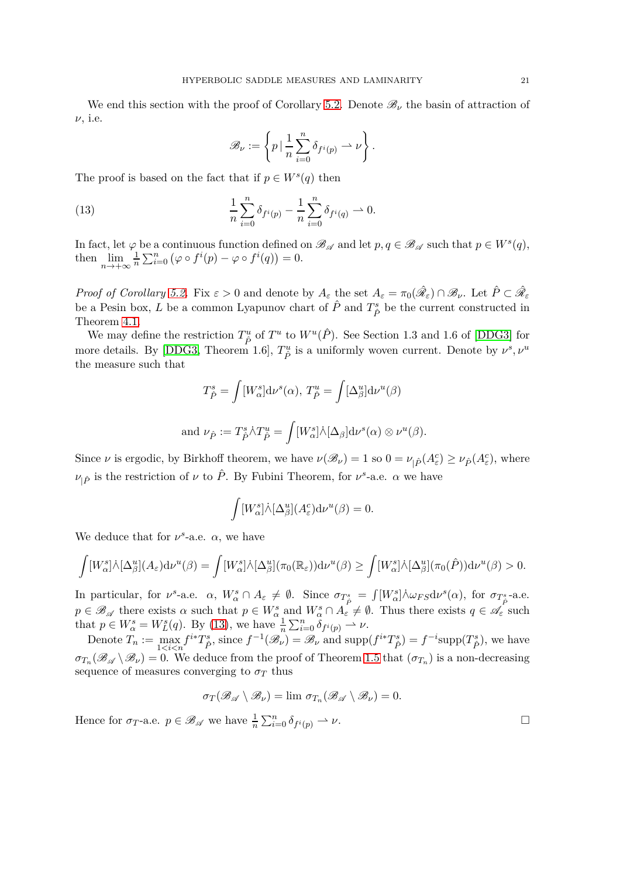We end this section with the proof of Corollary [5.2.](#page-19-0) Denote  $\mathscr{B}_{\nu}$  the basin of attraction of *ν*, i.e.

<span id="page-20-0"></span>
$$
\mathscr{B}_{\nu} := \left\{ p \, | \, \frac{1}{n} \sum_{i=0}^{n} \delta_{f^{i}(p)} \rightharpoonup \nu \right\}.
$$

The proof is based on the fact that if  $p \in W^s(q)$  then

(13) 
$$
\frac{1}{n} \sum_{i=0}^{n} \delta_{f^{i}(p)} - \frac{1}{n} \sum_{i=0}^{n} \delta_{f^{i}(q)} \rightharpoonup 0.
$$

In fact, let  $\varphi$  be a continuous function defined on  $\mathscr{B}_{\mathscr{A}}$  and let  $p, q \in \mathscr{B}_{\mathscr{A}}$  such that  $p \in W^s(q)$ , then  $\lim_{n\to+\infty}\frac{1}{n}$  $\frac{1}{n} \sum_{i=0}^{n} (\varphi \circ f^{i}(p) - \varphi \circ f^{i}(q)) = 0.$ 

*Proof of Corollary* [5.2.](#page-19-0) Fix  $\varepsilon > 0$  and denote by  $A_{\varepsilon}$  the set  $A_{\varepsilon} = \pi_0(\hat{\mathscr{R}}_{\varepsilon}) \cap \mathscr{B}_{\nu}$ . Let  $\hat{P} \subset \hat{\mathscr{R}}_{\varepsilon}$ be a Pesin box, *L* be a common Lyapunov chart of  $\hat{P}$  and  $T^s_{\hat{P}}$  be the current constructed in Theorem [4.1.](#page-13-1)

We may define the restriction  $T^u_{\hat{P}}$  of  $T^u$  to  $W^u(\hat{P})$ . See Section 1.3 and 1.6 of [\[DDG3\]](#page-27-12) for more details. By [\[DDG3,](#page-27-12) Theorem 1.6],  $T_{\hat{P}}^u$  is a uniformly woven current. Denote by  $\nu^s, \nu^u$ the measure such that

$$
T_{\hat{P}}^s = \int [W_{\alpha}^s] d\nu^s(\alpha), T_{\hat{P}}^u = \int [\Delta_{\beta}^u] d\nu^u(\beta)
$$
  
and  $\nu_{\hat{P}} := T_{\hat{P}}^s \dot{\wedge} T_{\hat{P}}^u = \int [W_{\alpha}^s] \dot{\wedge} [\Delta_{\beta}] d\nu^s(\alpha) \otimes \nu^u(\beta).$ 

Since  $\nu$  is ergodic, by Birkhoff theorem, we have  $\nu(\mathscr{B}_{\nu}) = 1$  so  $0 = \nu_{\vert \hat{P}}(A_{\varepsilon}^c) \ge \nu_{\hat{P}}(A_{\varepsilon}^c)$ , where *ν*<sub>|</sub>*ρ*<sup> $\in$ </sup> is the restriction of *ν* to *P*<sup> $\in$ </sup>. By Fubini Theorem, for *ν*<sup>*s*</sup>-a.e. *α* we have

$$
\int [W_{\alpha}^{s}]\dot{\wedge}[\Delta_{\beta}^{u}](A_{\varepsilon}^{c})\mathrm{d}\nu^{u}(\beta) = 0.
$$

We deduce that for  $\nu^s$ -a.e.  $\alpha$ , we have

$$
\int [W_{\alpha}^{s}]\dot{\wedge}[\Delta_{\beta}^{u}](A_{\varepsilon})d\nu^{u}(\beta) = \int [W_{\alpha}^{s}]\dot{\wedge}[\Delta_{\beta}^{u}](\pi_{0}(\mathbb{R}_{\varepsilon}))d\nu^{u}(\beta) \ge \int [W_{\alpha}^{s}]\dot{\wedge}[\Delta_{\beta}^{u}](\pi_{0}(\hat{P}))d\nu^{u}(\beta) > 0.
$$

In particular, for  $\nu^s$ -a.e.  $\alpha$ ,  $W^s_\alpha \cap A_\varepsilon \neq \emptyset$ . Since  $\sigma_{T^s_{\hat{P}}} = \int [W^s_\alpha] \wedge \omega_{FS} d\nu^s(\alpha)$ , for  $\sigma_{T^s_{\hat{P}}}$ -a.e.  $p \in \mathscr{B}_{\mathscr{A}}$  there exists  $\alpha$  such that  $p \in W_{\alpha}^s$  and  $W_{\alpha}^s \cap A_{\varepsilon}^s \neq \emptyset$ . Thus there exists  $q \in \mathscr{A}_{\varepsilon}$  such that  $p \in W^s_\alpha = W^s_L(q)$ . By [\(13\)](#page-20-0), we have  $\frac{1}{n} \sum_{i=0}^n \delta_{f^i(p)} \to \nu$ .

Denote  $T_n := \max_{1 \le i \le n} f^{i*}T_{\hat{P}}^s$ , since  $f^{-1}(\mathscr{B}_\nu) = \mathscr{B}_\nu$  and  $\text{supp}(f^{i*}T_{\hat{P}}^s) = f^{-i}\text{supp}(T_{\hat{P}}^s)$ , we have  $\sigma_{T_n}(\mathscr{B}_{\mathscr{A}} \setminus \mathscr{B}_{\nu}) = 0$ . We deduce from the proof of Theorem [1.5](#page-2-1) that  $(\sigma_{T_n})$  is a non-decreasing sequence of measures converging to  $\sigma_T$  thus

$$
\sigma_T(\mathscr{B}_{\mathscr{A}}\setminus\mathscr{B}_{\nu})=\lim \sigma_{T_n}(\mathscr{B}_{\mathscr{A}}\setminus\mathscr{B}_{\nu})=0.
$$

Hence for  $\sigma_T$ -a.e.  $p \in \mathscr{B}_{\mathscr{A}}$  we have  $\frac{1}{n} \sum_{i=0}^n \delta_{f^i(p)} \rightharpoonup \nu$ .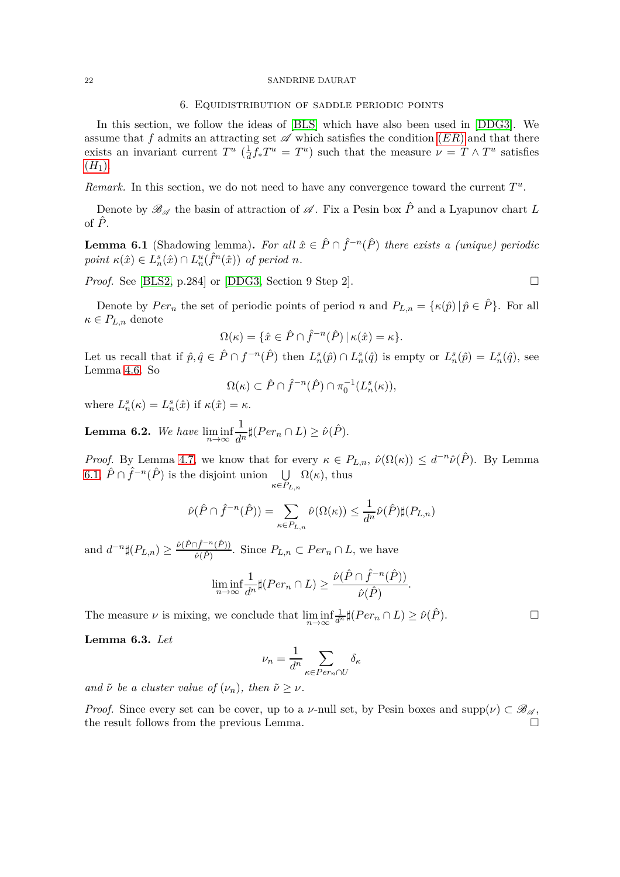## 6. Equidistribution of saddle periodic points

<span id="page-21-0"></span>In this section, we follow the ideas of [\[BLS\]](#page-27-11) which have also been used in [\[DDG3\]](#page-27-12). We assume that f admits an attracting set  $\mathscr A$  which satisfies the condition  $(ER)$  $(ER)$  $(ER)$  and that there exists an invariant current  $T^u$  ( $\frac{1}{d}$  $\frac{1}{d} f_* T^u = T^u$ ) such that the measure  $\nu = T \wedge T^u$  satisfies  $(H_1).$  $(H_1).$  $(H_1).$ 

*Remark.* In this section, we do not need to have any convergence toward the current  $T^u$ .

Denote by  $\mathscr{B}_{\mathscr{A}}$  the basin of attraction of  $\mathscr{A}$ . Fix a Pesin box  $\hat{P}$  and a Lyapunov chart *L* of  $\hat{P}$ .

<span id="page-21-1"></span>**Lemma 6.1** (Shadowing lemma). For all  $\hat{x} \in \hat{P} \cap \hat{f}^{-n}(\hat{P})$  there exists a (unique) periodic  $point \ \kappa(\hat{x}) \in L_n^s(\hat{x}) \cap L_n^u(\hat{f}^n(\hat{x})) \ \text{of period } n.$ 

*Proof.* See [\[BLS2,](#page-27-26) p.284] or [\[DDG3,](#page-27-12) Section 9 Step 2].  $\Box$ 

Denote by  $Per_n$  the set of periodic points of period *n* and  $P_{L,n} = {\kappa(\hat{p}) | \hat{p} \in \hat{P}}$ . For all  $\kappa \in P_{L,n}$  denote

$$
\Omega(\kappa) = \{ \hat{x} \in \hat{P} \cap \hat{f}^{-n}(\hat{P}) \mid \kappa(\hat{x}) = \kappa \}.
$$

Let us recall that if  $\hat{p}, \hat{q} \in \hat{P} \cap f^{-n}(\hat{P})$  then  $L_n^s(\hat{p}) \cap L_n^s(\hat{q})$  is empty or  $L_n^s(\hat{p}) = L_n^s(\hat{q})$ , see Lemma [4.6.](#page-16-0) So

$$
\Omega(\kappa) \subset \hat{P} \cap \hat{f}^{-n}(\hat{P}) \cap \pi_0^{-1}(L_n^s(\kappa)),
$$

where  $L_n^s(\kappa) = L_n^s(\hat{x})$  if  $\kappa(\hat{x}) = \kappa$ .

**Lemma 6.2.** *We have*  $\liminf_{n\to\infty}$ 1  $\frac{1}{d^n}$  $\sharp(Per_n \cap L) \geq \hat{\nu}(\hat{P})$ .

*Proof.* By Lemma [4.7,](#page-16-1) we know that for every  $\kappa \in P_{L,n}$ ,  $\hat{\nu}(\Omega(\kappa)) \leq d^{-n}\hat{\nu}(\hat{P})$ . By Lemma [6.1,](#page-21-1)  $\hat{P} \cap \hat{f}^{-n}(\hat{P})$  is the disjoint union  $\bigcup \Omega(\kappa)$ , thus *κ*∈*PL,n*

$$
\hat{\nu}(\hat{P} \cap \hat{f}^{-n}(\hat{P})) = \sum_{\kappa \in P_{L,n}} \hat{\nu}(\Omega(\kappa)) \leq \frac{1}{d^n} \hat{\nu}(\hat{P}) \sharp(P_{L,n})
$$

and  $d^{-n}$  $\sharp(P_{L,n}) \geq \frac{\hat{\nu}(\hat{P} \cap \hat{f}^{-n}(\hat{P}))}{\hat{\nu}(\hat{P})}$  $\frac{\partial (P)}{\partial P}$ . Since  $P_{L,n} \subset Per_n \cap L$ , we have

$$
\liminf_{n\to\infty}\frac{1}{d^n}\sharp(Per_n\cap L)\geq \frac{\hat{\nu}(\hat{P}\cap \hat{f}^{-n}(\hat{P}))}{\hat{\nu}(\hat{P})}.
$$

The measure  $\nu$  is mixing, we conclude that  $\liminf_{n\to\infty}$  $\frac{1}{d^n} \sharp (Per_n \cap L) \geq \hat{\nu}(\hat{P})$ .

<span id="page-21-2"></span>**Lemma 6.3.** *Let*

$$
\nu_n = \frac{1}{d^n} \sum_{\kappa \in Per_n \cap U} \delta_{\kappa}
$$

*and*  $\tilde{\nu}$  *be a cluster value of*  $(\nu_n)$ *, then*  $\tilde{\nu} \geq \nu$ *.* 

*Proof.* Since every set can be cover, up to a *ν*-null set, by Pesin boxes and supp $(\nu) \subset \mathcal{B}_{\mathcal{A}}$ , the result follows from the previous Lemma.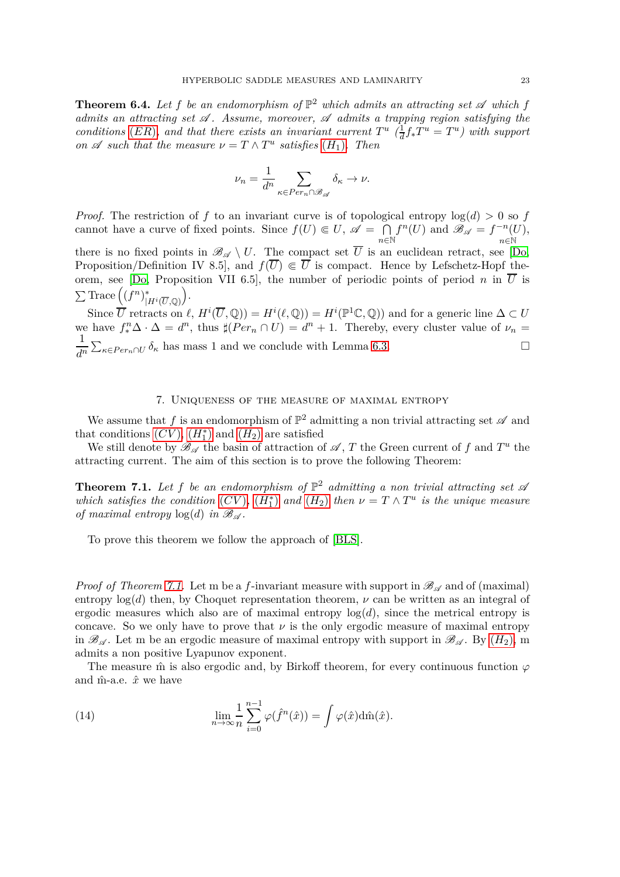<span id="page-22-1"></span>**Theorem 6.4.** Let f be an endomorphism of  $\mathbb{P}^2$  which admits an attracting set  $\mathscr A$  which f *admits an attracting set* A *. Assume, moreover,* A *admits a trapping region satisfying the conditions* (*[ER](#page-3-7)*)*, and that there exists an invariant current*  $T^u$  ( $\frac{1}{d}$ )  $\frac{1}{d} f_* T^u = T^u$ ) with support *on*  $\mathscr A$  *such that the measure*  $\nu = T \wedge T^u$  *satisfies*  $(H_1)$  $(H_1)$  $(H_1)$ *. Then* 

$$
\nu_n = \frac{1}{d^n} \sum_{\kappa \in Per_n \cap \mathscr{B}_{\mathscr{A}}} \delta_{\kappa} \to \nu.
$$

*Proof.* The restriction of f to an invariant curve is of topological entropy  $log(d) > 0$  so f cannot have a curve of fixed points. Since  $f(U) \in U$ ,  $\mathscr{A} = \bigcap$ *n*∈N  $f^n(U)$  and  $\mathscr{B}_{\mathscr{A}} = f^{-n}(U)$ *n*∈N , there is no fixed points in  $\mathscr{B}_{\mathscr{A}} \setminus U$ . The compact set  $\overline{U}$  is an euclidean retract, see [\[Do,](#page-27-9) Proposition/Definition IV 8.5, and  $f(\overline{U}) \in \overline{U}$  is compact. Hence by Lefschetz-Hopf the-orem, see [\[Do,](#page-27-9) Proposition VII 6.5], the number of periodic points of period *n* in  $\overline{U}$  is  $\sum \text{Trace} \left( (f^n)^*_{\perp} \right)$  $|H^i(\overline{U},\mathbb{Q})|$ .

Since  $\overline{U}$  retracts on  $\ell$ ,  $H^i(\overline{U}, \mathbb{Q}) = H^i(\ell, \mathbb{Q}) = H^i(\mathbb{P}^1 \mathbb{C}, \mathbb{Q})$  and for a generic line  $\Delta \subset U$ we have  $f_*^n \Delta \cdot \Delta = d^n$ , thus  $\sharp(Per_n \cap U) = d^n + 1$ . Thereby, every cluster value of  $\nu_n =$ 1  $\frac{1}{d^n} \sum_{\kappa \in Per_n \cap U} \delta_{\kappa}$  has mass 1 and we conclude with Lemma [6.3.](#page-21-2)

# 7. Uniqueness of the measure of maximal entropy

<span id="page-22-0"></span>We assume that  $f$  is an endomorphism of  $\mathbb{P}^2$  admitting a non trivial attracting set  $\mathscr A$  and that conditions  $(CV)$  $(CV)$  $(CV)$ ,  $(H_1^*)$  $(H_1^*)$  $(H_1^*)$  and  $(H_2)$  are satisfied

We still denote by  $\mathscr{B}_{\mathscr{A}}$  the basin of attraction of  $\mathscr{A}, T$  the Green current of f and  $T^u$  the attracting current. The aim of this section is to prove the following Theorem:

<span id="page-22-2"></span>**Theorem 7.1.** Let f be an endomorphism of  $\mathbb{P}^2$  admitting a non trivial attracting set  $\mathscr A$ *which satisfies the condition*  $(CV)$  $(CV)$  $(CV)$ *,*  $(H_1^*)$  $(H_1^*)$  $(H_1^*)$  *and*  $(H_2)$  *then*  $\nu = T \wedge T^u$  *is the unique measure of maximal entropy*  $log(d)$  *in*  $\mathcal{B}_{\mathcal{A}}$ *.* 

To prove this theorem we follow the approach of [\[BLS\]](#page-27-11).

*Proof of Theorem [7.1.](#page-22-2)* Let m be a *f*-invariant measure with support in  $\mathscr{B}_{\mathscr{A}}$  and of (maximal) entropy  $log(d)$  then, by Choquet representation theorem,  $\nu$  can be written as an integral of ergodic measures which also are of maximal entropy  $log(d)$ , since the metrical entropy is concave. So we only have to prove that  $\nu$  is the only ergodic measure of maximal entropy in  $\mathscr{B}_{\mathscr{A}}$ . Let m be an ergodic measure of maximal entropy with support in  $\mathscr{B}_{\mathscr{A}}$ . By  $(H_2)$  $(H_2)$  $(H_2)$ , m admits a non positive Lyapunov exponent.

The measure  $\hat{m}$  is also ergodic and, by Birkoff theorem, for every continuous function  $\varphi$ and  $\hat{m}$ -a.e.  $\hat{x}$  we have

<span id="page-22-3"></span>(14) 
$$
\lim_{n \to \infty} \frac{1}{n} \sum_{i=0}^{n-1} \varphi(\hat{f}^n(\hat{x})) = \int \varphi(\hat{x}) d\hat{m}(\hat{x}).
$$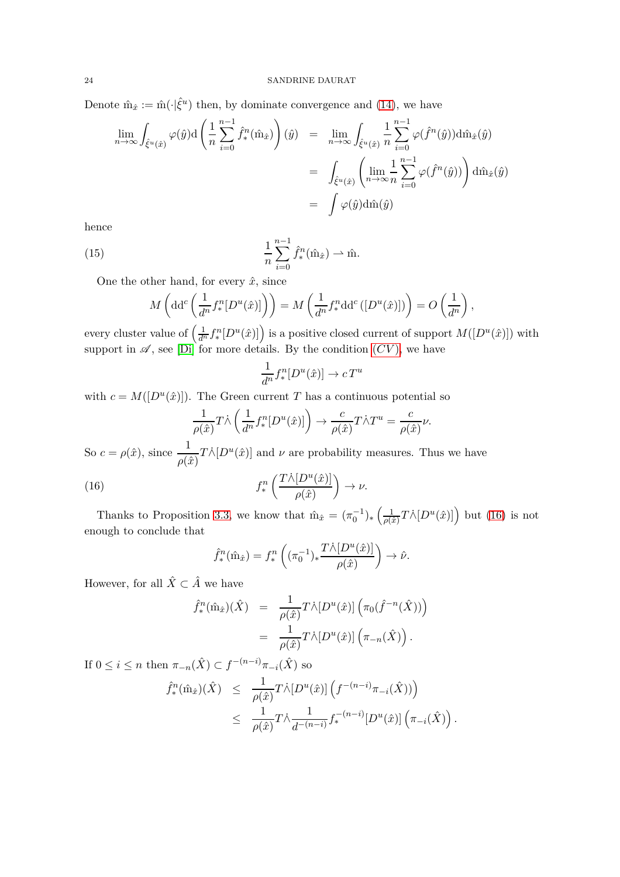Denote  $\hat{m}_{\hat{x}} := \hat{m}(\cdot|\hat{\xi}^u)$  then, by dominate convergence and [\(14\)](#page-22-3), we have

$$
\lim_{n \to \infty} \int_{\hat{\xi}^u(\hat{x})} \varphi(\hat{y}) d\left(\frac{1}{n} \sum_{i=0}^{n-1} \hat{f}_*^n(\hat{m}_{\hat{x}})\right)(\hat{y}) = \lim_{n \to \infty} \int_{\hat{\xi}^u(\hat{x})} \frac{1}{n} \sum_{i=0}^{n-1} \varphi(\hat{f}^n(\hat{y})) d\hat{m}_{\hat{x}}(\hat{y})
$$

$$
= \int_{\hat{\xi}^u(\hat{x})} \left(\lim_{n \to \infty} \frac{1}{n} \sum_{i=0}^{n-1} \varphi(\hat{f}^n(\hat{y}))\right) d\hat{m}_{\hat{x}}(\hat{y})
$$

$$
= \int \varphi(\hat{y}) d\hat{m}(\hat{y})
$$

hence

(15) 
$$
\frac{1}{n} \sum_{i=0}^{n-1} \hat{f}^n_*(\hat{m}_{\hat{x}}) \rightharpoonup \hat{m}.
$$

One the other hand, for every  $\hat{x}$ , since

$$
M\left(\mathrm{dd}^c\left(\frac{1}{d^n}f_*^n[D^u(\hat{x})]\right)\right) = M\left(\frac{1}{d^n}f_*^n\mathrm{dd}^c\left([D^u(\hat{x})]\right)\right) = O\left(\frac{1}{d^n}\right),\,
$$

every cluster value of  $\left(\frac{1}{d^n} f_*^n[D^u(\hat{x})]\right)$  is a positive closed current of support  $M([D^u(\hat{x})])$  with support in  $\mathscr A$ , see [\[Di\]](#page-27-5) for more details. By the condition  $(CV)$  $(CV)$  $(CV)$ , we have

<span id="page-23-1"></span>
$$
\frac{1}{d^n} f_*^n[D^u(\hat{x})] \to cT^u
$$

with  $c = M([D^u(\hat{x})])$ . The Green current *T* has a continuous potential so

$$
\frac{1}{\rho(\hat{x})}T\dot{\wedge}\left(\frac{1}{d^n}f_*^n[D^u(\hat{x})]\right) \to \frac{c}{\rho(\hat{x})}T\dot{\wedge}T^u = \frac{c}{\rho(\hat{x})}\nu.
$$

So  $c = \rho(\hat{x})$ , since  $\frac{1}{\rho(\hat{x})}T\dot{\wedge}[D^u(\hat{x})]$  and  $\nu$  are probability measures. Thus we have

(16) 
$$
f_*^n\left(\frac{T\dot{\wedge}[D^u(\hat{x})]}{\rho(\hat{x})}\right) \to \nu.
$$

Thanks to Proposition [3.3,](#page-11-0) we know that  $\hat{m}_{\hat{x}} = (\pi_0^{-1})_* \left( \frac{1}{\rho(\hat{x})} \right)$  $\frac{1}{\rho(\hat{x})}T\dot{\wedge} [D^u(\hat{x})]$  but [\(16\)](#page-23-0) is not enough to conclude that

<span id="page-23-0"></span>
$$
\hat{f}^n_*(\hat{\mathbf{m}}_{\hat{x}}) = f^n_* \left( (\pi_0^{-1})_* \frac{T \dot{\wedge} [D^u(\hat{x})]}{\rho(\hat{x})} \right) \to \hat{\nu}.
$$

However, for all  $\hat{X} \subset \hat{A}$  we have

$$
\hat{f}^n_*(\hat{\mathbf{m}}_{\hat{x}})(\hat{X}) = \frac{1}{\rho(\hat{x})} T \hat{\wedge} [D^u(\hat{x})] \left( \pi_0(\hat{f}^{-n}(\hat{X})) \right)
$$

$$
= \frac{1}{\rho(\hat{x})} T \hat{\wedge} [D^u(\hat{x})] \left( \pi_{-n}(\hat{X}) \right).
$$

If  $0 \leq i \leq n$  then  $\pi_{-n}(\hat{X}) \subset f^{-(n-i)}\pi_{-i}(\hat{X})$  so  $\hat{f}^n_*(\hat{\mathbf{m}}_{\hat{x}})(\hat{X}) \leq \frac{1}{\hat{g}(\hat{x})}$  $\frac{1}{\rho(\hat{x})}T\dot{\wedge}\left[D^u(\hat{x})\right]\left(f^{-(n-i)}\pi_{-i}(\hat{X}))\right)$ 

$$
\begin{array}{rcl}\n\text{(m}_{\hat{x}})(X) & \leq & \frac{}{\rho(\hat{x})} T \wedge [D^u(\hat{x})] \left( f^{(u-v)} \pi_{-i}(X) \right) \\
& \leq & \frac{1}{\rho(\hat{x})} T \wedge \frac{1}{d^{-(n-i)}} f_*^{-(n-i)} [D^u(\hat{x})] \left( \pi_{-i}(\hat{X}) \right)\n\end{array}
$$

*.*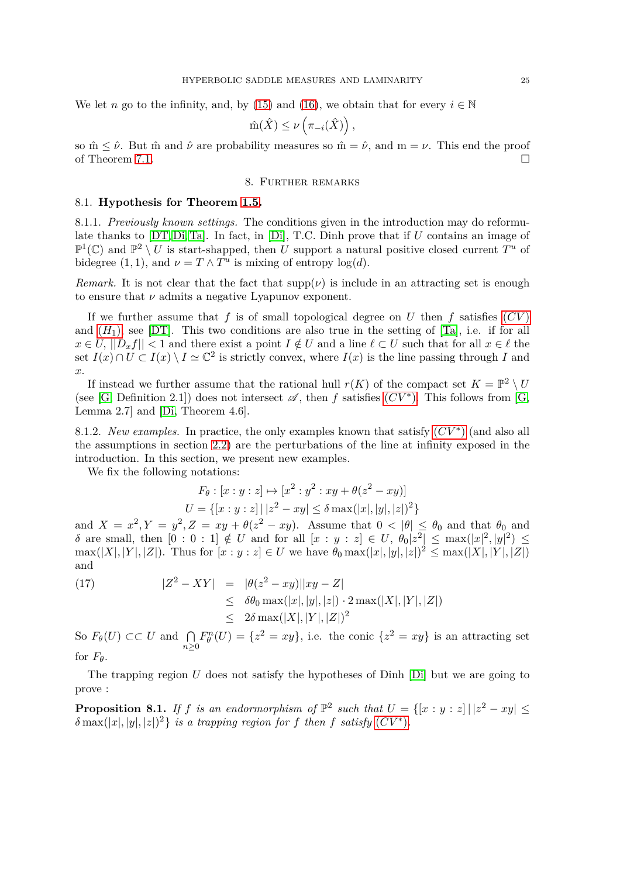We let *n* go to the infinity, and, by [\(15\)](#page-23-1) and [\(16\)](#page-23-0), we obtain that for every  $i \in \mathbb{N}$ 

$$
\hat{m}(\hat{X}) \leq \nu\left(\pi_{-i}(\hat{X})\right),\,
$$

<span id="page-24-0"></span>so  $\hat{m} \leq \hat{\nu}$ . But  $\hat{m}$  and  $\hat{\nu}$  are probability measures so  $\hat{m} = \hat{\nu}$ , and  $m = \nu$ . This end the proof of Theorem [7.1.](#page-22-2)  $\Box$ 

# 8. Further remarks

# <span id="page-24-1"></span>8.1. **Hypothesis for Theorem [1.5.](#page-2-1)**

8.1.1. *Previously known settings.* The conditions given in the introduction may do reformulate thanks to [\[DT,](#page-27-3) [Di,](#page-27-5) [Ta\]](#page-27-27). In fact, in [\[Di\]](#page-27-5), T.C. Dinh prove that if *U* contains an image of  $\mathbb{P}^1(\mathbb{C})$  and  $\mathbb{P}^2 \setminus U$  is start-shapped, then *U* support a natural positive closed current  $T^u$  of bidegree  $(1, 1)$ , and  $\nu = T \wedge T^u$  is mixing of entropy  $\log(d)$ .

*Remark.* It is not clear that the fact that  $\text{supp}(\nu)$  is include in an attracting set is enough to ensure that *ν* admits a negative Lyapunov exponent.

If we further assume that  $f$  is of small topological degree on  $U$  then  $f$  satisfies  $(CV)$  $(CV)$  $(CV)$ and  $(H_1)$  $(H_1)$  $(H_1)$ , see [\[DT\]](#page-27-3). This two conditions are also true in the setting of [\[Ta\]](#page-27-27), i.e. if for all  $x \in U$ ,  $||D_x f|| < 1$  and there exist a point  $I \notin U$  and a line  $\ell \subset U$  such that for all  $x \in \ell$  the set  $I(x) \cap U \subset I(x) \setminus I \simeq \mathbb{C}^2$  is strictly convex, where  $I(x)$  is the line passing through *I* and *x.*

If instead we further assume that the rational hull  $r(K)$  of the compact set  $K = \mathbb{P}^2 \setminus U$ (see [\[G,](#page-27-13) Definition 2.1]) does not intersect  $\mathscr{A}$ , then f satisfies  $(CV^*)$  $(CV^*)$  $(CV^*)$ . This follows from [G, Lemma 2.7] and [\[Di,](#page-27-5) Theorem 4.6].

8.1.2. *New examples*. In practice, the only examples known that satisfy  $(CV^*)$  $(CV^*)$  $(CV^*)$  (and also all the assumptions in section [2.2\)](#page-3-2) are the perturbations of the line at infinity exposed in the introduction. In this section, we present new examples.

We fix the following notations:

$$
F_{\theta}: [x:y:z] \mapsto [x^2:y^2:xy+\theta(z^2-xy)]
$$
  

$$
U = \{ [x:y:z] \mid |z^2-xy| \le \delta \max(|x|, |y|, |z|)^2 \}
$$

and  $X = x^2, Y = y^2, Z = xy + \theta(z^2 - xy)$ . Assume that  $0 < |\theta| \le \theta_0$  and that  $\theta_0$  and  $\delta$  are small, then  $[0:0:1] \notin U$  and for all  $[x:y:z] \in U$ ,  $\theta_0|z^2| \leq \max(|x|^2,|y|^2) \leq$  $\max(|X|, |Y|, |Z|)$ . Thus for  $[x : y : z] \in U$  we have  $\theta_0 \max(|x|, |y|, |z|)^2 \leq \max(|X|, |Y|, |Z|)$ and

(17) 
$$
|Z^{2} - XY| = |\theta(z^{2} - xy)||xy - Z| \leq \delta \theta_{0} \max(|x|, |y|, |z|) \cdot 2 \max(|X|, |Y|, |Z|) \leq 2\delta \max(|X|, |Y|, |Z|)^{2}
$$

So  $F_{\theta}(U) \subset\subset U$  and  $\bigcap_{n\geq 0}$  $F_{\theta}^{n}(U) = \{z^{2} = xy\}$ , i.e. the conic  $\{z^{2} = xy\}$  is an attracting set for  $F_{\theta}$ .

The trapping region *U* does not satisfy the hypotheses of Dinh [\[Di\]](#page-27-5) but we are going to prove :

**Proposition 8.1.** If *f* is an endormorphism of  $\mathbb{P}^2$  such that  $U = \{ [x : y : z] \mid |z^2 - xy| \leq 1 \}$  $\delta$  max $(|x|, |y|, |z|)^2$  *is a trapping region for f* then *f satisfy*  $(CV^*)$  $(CV^*)$  $(CV^*)$ *.*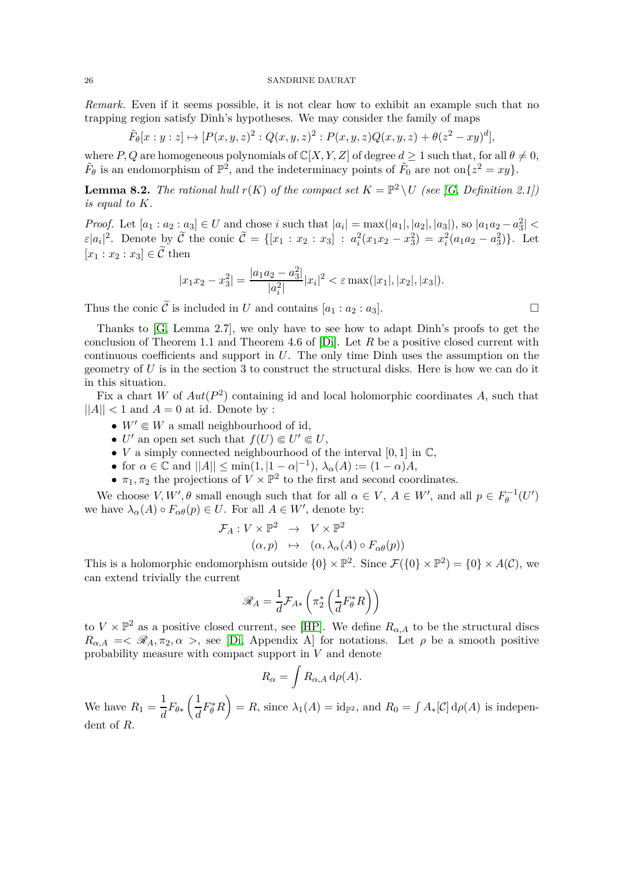*Remark.* Even if it seems possible, it is not clear how to exhibit an example such that no trapping region satisfy Dinh's hypotheses. We may consider the family of maps

$$
\tilde{F}_{\theta}[x:y:z] \mapsto [P(x,y,z)^{2} : Q(x,y,z)^{2} : P(x,y,z)Q(x,y,z) + \theta(z^{2} - xy)^{d}],
$$

where *P*, *Q* are homogeneous polynomials of  $\mathbb{C}[X, Y, Z]$  of degree  $d \geq 1$  such that, for all  $\theta \neq 0$ ,  $\tilde{F}_{\theta}$  is an endomorphism of  $\mathbb{P}^2$ , and the indeterminacy points of  $\tilde{F}_0$  are not on $\{z^2 = xy\}$ .

**Lemma 8.2.** *The rational hull*  $r(K)$  *of the compact set*  $K = \mathbb{P}^2 \setminus U$  *(see [\[G,](#page-27-13) Definition 2.1]) is equal to K.*

*Proof.* Let  $[a_1 : a_2 : a_3] \in U$  and chose *i* such that  $|a_i| = \max(|a_1|, |a_2|, |a_3|)$ , so  $|a_1 a_2 - a_3^2|$  $\varepsilon |a_i|^2$ . Denote by  $\widetilde{\mathcal{C}}$  the conic  $\widetilde{\mathcal{C}} = \{ [x_1 : x_2 : x_3] : a_i^2 (x_1 x_2 - x_3^2) = x_i^2 (a_1 a_2 - a_3^2) \}$ . Let  $[x_1 : x_2 : x_3] \in \widetilde{\mathcal{C}}$  then

$$
|x_1x_2 - x_3^2| = \frac{|a_1a_2 - a_3^2|}{|a_i^2|} |x_i|^2 < \varepsilon \max(|x_1|, |x_2|, |x_3|).
$$

Thus the conic  $\tilde{\mathcal{C}}$  is included in *U* and contains  $[a_1 : a_2 : a_3]$ .

Thanks to [\[G,](#page-27-13) Lemma 2.7], we only have to see how to adapt Dinh's proofs to get the conclusion of Theorem 1.1 and Theorem 4.6 of [\[Di\]](#page-27-5). Let *R* be a positive closed current with continuous coefficients and support in *U*. The only time Dinh uses the assumption on the geometry of *U* is in the section 3 to construct the structural disks. Here is how we can do it in this situation.

Fix a chart *W* of  $Aut(P^2)$  containing id and local holomorphic coordinates *A*, such that  $||A|| < 1$  and  $A = 0$  at id. Denote by :

- $W' \in W$  a small neighbourhood of id,
- *U'* an open set such that  $f(U) \in U' \in U$ ,
- *V* a simply connected neighbourhood of the interval  $[0, 1]$  in  $\mathbb{C}$ ,
- for  $\alpha \in \mathbb{C}$  and  $||A|| \le \min(1, |1 \alpha|^{-1}), \lambda_{\alpha}(A) := (1 \alpha)A$ ,
- $\pi_1, \pi_2$  the projections of  $V \times \mathbb{P}^2$  to the first and second coordinates.

We choose  $V, W', \theta$  small enough such that for all  $\alpha \in V, A \in W'$ , and all  $p \in F_{\theta}^{-1}(U')$ we have  $\lambda_{\alpha}(A) \circ F_{\alpha\theta}(p) \in U$ . For all  $A \in W'$ , denote by:

$$
\mathcal{F}_A: V \times \mathbb{P}^2 \to V \times \mathbb{P}^2
$$

$$
(\alpha, p) \mapsto (\alpha, \lambda_\alpha(A) \circ F_{\alpha\theta}(p))
$$

This is a holomorphic endomorphism outside  $\{0\} \times \mathbb{P}^2$ . Since  $\mathcal{F}(\{0\} \times \mathbb{P}^2) = \{0\} \times A(\mathcal{C})$ , we can extend trivially the current

$$
\mathscr{R}_A = \frac{1}{d} \mathcal{F}_{A*} \left( \pi_2^* \left( \frac{1}{d} F_{\theta}^* R \right) \right)
$$

to  $V \times \mathbb{P}^2$  as a positive closed current, see [\[HP\]](#page-27-28). We define  $R_{\alpha,A}$  to be the structural discs  $R_{\alpha,A}$  =<  $\mathscr{R}_A$ ,  $\pi_2$ ,  $\alpha$  >, see [\[Di,](#page-27-5) Appendix A] for notations. Let  $\rho$  be a smooth positive probability measure with compact support in *V* and denote

$$
R_{\alpha} = \int R_{\alpha,A} d\rho(A).
$$

We have  $R_1 = \frac{1}{d}$  $\frac{1}{d}F_{\theta*}$  $(1)$  $\frac{1}{d}F^*_{\theta}R$  $\setminus$  $= R$ , since  $\lambda_1(A) = \text{id}_{\mathbb{P}^2}$ , and  $R_0 = \int A_*[\mathcal{C}] d\rho(A)$  is independent of *R*.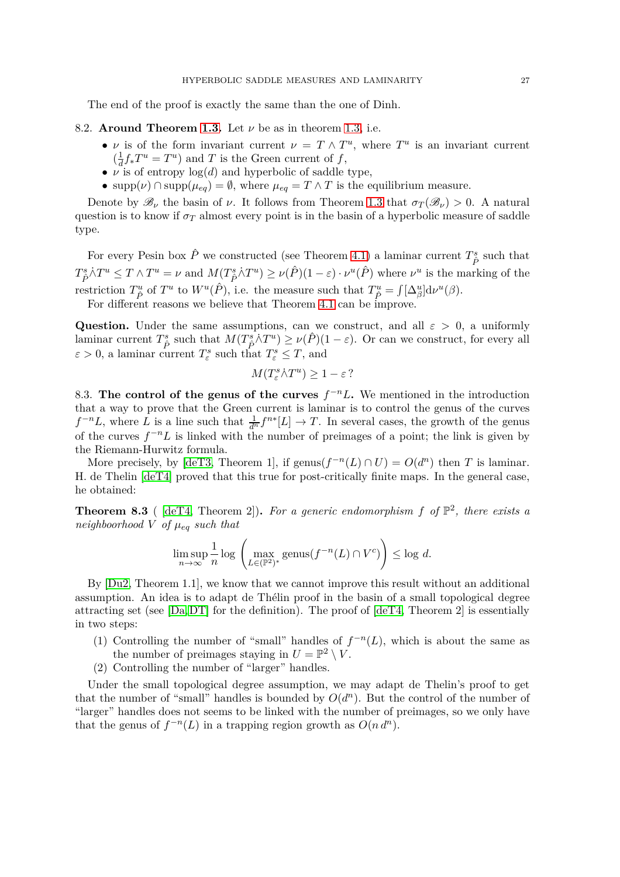The end of the proof is exactly the same than the one of Dinh.

## 8.2. **Around Theorem [1.3.](#page-2-0)** Let *ν* be as in theorem [1.3,](#page-2-0) i.e.

- *ν* is of the form invariant current  $\nu = T \wedge T^u$ , where  $T^u$  is an invariant current  $\left(\frac{1}{d}\right)$  $\frac{1}{d} f_* T^u = T^u$  and *T* is the Green current of *f*,
- $\nu$  is of entropy  $\log(d)$  and hyperbolic of saddle type,
- supp $(\nu) \cap \text{supp}(\mu_{eq}) = \emptyset$ , where  $\mu_{eq} = T \wedge T$  is the equilibrium measure.

Denote by  $\mathscr{B}_{\nu}$  the basin of  $\nu$ . It follows from Theorem [1.3](#page-2-0) that  $\sigma_T(\mathscr{B}_{\nu}) > 0$ . A natural question is to know if  $\sigma_T$  almost every point is in the basin of a hyperbolic measure of saddle type.

For every Pesin box  $\hat{P}$  we constructed (see Theorem [4.1\)](#page-13-1) a laminar current  $T^s_{\hat{P}}$  such that  $T^s_{\hat{P}}\dot{\wedge} T^u \leq T\wedge T^u = \nu$  and  $M(T^s_{\hat{P}}\dot{\wedge} T^u) \geq \nu(\hat{P})(1-\varepsilon)\cdot \nu^u(\hat{P})$  where  $\nu^u$  is the marking of the restriction  $T^u_{\hat{P}}$  of  $T^u$  to  $W^u(\hat{P})$ , i.e. the measure such that  $T^u_{\hat{P}} = \int [\Delta^u_{\beta}] d\nu^u(\beta)$ .

For different reasons we believe that Theorem [4.1](#page-13-1) can be improve.

**Question.** Under the same assumptions, can we construct, and all  $\varepsilon > 0$ , a uniformly laminar current  $T^s_{\hat{P}}$  such that  $M(T^s_{\hat{P}} \wedge T^u) \ge \nu(\hat{P})(1-\varepsilon)$ . Or can we construct, for every all  $\varepsilon > 0$ , a laminar current  $T^s_{\varepsilon}$  such that  $T^s_{\varepsilon} \leq T$ , and

$$
M(T^s_{\varepsilon} \dot{\wedge} T^u) \ge 1 - \varepsilon?
$$

8.3. The control of the genus of the curves  $f^{-n}L$ . We mentioned in the introduction that a way to prove that the Green current is laminar is to control the genus of the curves  $f^{-n}L$ , where *L* is a line such that  $\frac{1}{d^n} f^{n*}[L] \to T$ . In several cases, the growth of the genus of the curves  $f^{-n}L$  is linked with the number of preimages of a point; the link is given by the Riemann-Hurwitz formula.

More precisely, by [\[deT3,](#page-28-0) Theorem 1], if genus $(f^{-n}(L) \cap U) = O(d^n)$  then *T* is laminar. H. de Thelin [\[deT4\]](#page-28-1) proved that this true for post-critically finite maps. In the general case, he obtained:

**Theorem 8.3** (  $[def4, Theorem 2]$ ). For a generic endomorphism f of  $\mathbb{P}^2$ , there exists a *neighboorhood*  $V$  *of*  $\mu_{eq}$  *such that* 

$$
\limsup_{n \to \infty} \frac{1}{n} \log \left( \max_{L \in (\mathbb{P}^2)^*} \text{genus}(f^{-n}(L) \cap V^c) \right) \le \log d.
$$

By [\[Du2,](#page-27-8) Theorem 1.1], we know that we cannot improve this result without an additional assumption. An idea is to adapt de Thélin proof in the basin of a small topological degree attracting set (see  $[Da, DT]$  $[Da, DT]$  for the definition). The proof of  $[deT4, Theorem 2]$  $[deT4, Theorem 2]$  is essentially in two steps:

- (1) Controlling the number of "small" handles of  $f^{-n}(L)$ , which is about the same as the number of preimages staying in  $U = \mathbb{P}^2 \setminus V$ .
- (2) Controlling the number of "larger" handles.

Under the small topological degree assumption, we may adapt de Thelin's proof to get that the number of "small" handles is bounded by  $O(d^n)$ . But the control of the number of "larger" handles does not seems to be linked with the number of preimages, so we only have that the genus of  $f^{-n}(L)$  in a trapping region growth as  $O(n d^n)$ .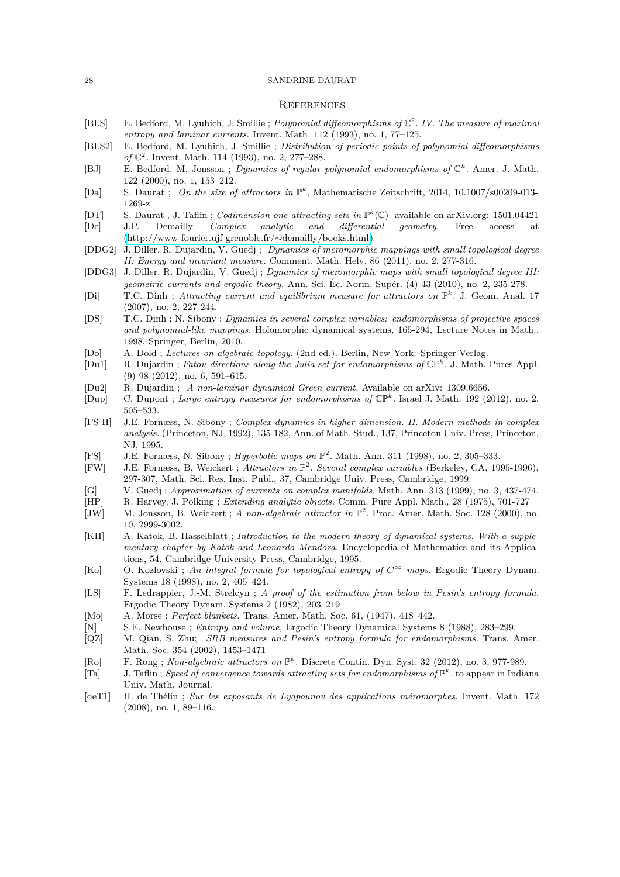## **REFERENCES**

- <span id="page-27-11"></span>[BLS] E. Bedford, M. Lyubich, J. Smillie ; *Polynomial diffeomorphisms of* C 2 *. IV. The measure of maximal entropy and laminar currents.* Invent. Math. 112 (1993), no. 1, 77–125.
- <span id="page-27-26"></span>[BLS2] E. Bedford, M. Lyubich, J. Smillie ; *Distribution of periodic points of polynomial diffeomorphisms of* ℂ<sup>2</sup>. Invent. Math. 114 (1993), no. 2, 277–288.
- <span id="page-27-1"></span>[BJ] E. Bedford, M. Jonsson ; *Dynamics of regular polynomial endomorphisms of* C *k .* Amer. J. Math. 122 (2000), no. 1, 153–212.
- <span id="page-27-4"></span>[Da] S. Daurat ; On the size of attractors in  $\mathbb{P}^k$ , Mathematische Zeitschrift, 2014, 10.1007/s00209-013-1269-z
- <span id="page-27-14"></span><span id="page-27-3"></span>[DT] S. Daurat , J. Taflin ; *Codimension one attracting sets in* P *k* (C) available on arXiv.org: 1501.04421 [De] J.P. Demailly *Complex analytic and differential geometry*. Free access at [\(http://www-fourier.ujf-grenoble.fr/](http://www-fourier.ujf-grenoble.fr/~demailly/books.html)∼demailly/books.html)
- <span id="page-27-15"></span>[DDG2] J. Diller, R. Dujardin, V. Guedj ; *Dynamics of meromorphic mappings with small topological degree II: Energy and invariant measure.* Comment. Math. Helv. 86 (2011), no. 2, 277-316.
- <span id="page-27-12"></span>[DDG3] J. Diller, R. Dujardin, V. Guedj ; *Dynamics of meromorphic maps with small topological degree III: geometric currents and ergodic theory.* Ann. Sci. Éc. Norm. Supér. (4) 43 (2010), no. 2, 235-278.
- <span id="page-27-5"></span>[Di] T.C. Dinh; *Attracting current and equilibrium measure for attractors on*  $\mathbb{P}^k$ . J. Geom. Anal. 17 (2007), no. 2, 227-244.
- <span id="page-27-0"></span>[DS] T.C. Dinh ; N. Sibony ; *Dynamics in several complex variables: endomorphisms of projective spaces and polynomial-like mappings.* Holomorphic dynamical systems, 165-294, Lecture Notes in Math., 1998, Springer, Berlin, 2010.
- <span id="page-27-9"></span>[Do] A. Dold ; *Lectures on algebraic topology.* (2nd ed.). Berlin, New York: Springer-Verlag.
- <span id="page-27-7"></span>[Du1] R. Dujardin ; *Fatou directions along the Julia set for endomorphisms of* CP*<sup>k</sup> .* J. Math. Pures Appl. (9) 98 (2012), no. 6, 591–615.
- <span id="page-27-8"></span>[Du2] R. Dujardin ; *A non-laminar dynamical Green current.* Available on arXiv: 1309.6656.
- <span id="page-27-21"></span>[Dup] C. Dupont ; *Large entropy measures for endomorphisms of* CP*<sup>k</sup> .* Israel J. Math. 192 (2012), no. 2, 505–533.
- <span id="page-27-22"></span>[FS II] J.E. Fornæss, N. Sibony ; *Complex dynamics in higher dimension. II. Modern methods in complex analysis.* (Princeton, NJ, 1992), 135-182, Ann. of Math. Stud., 137, Princeton Univ. Press, Princeton, NJ, 1995.
- <span id="page-27-10"></span>[FS] J.E. Fornæss, N. Sibony ; *Hyperbolic maps on* P 2 *.* Math. Ann. 311 (1998), no. 2, 305–333.
- <span id="page-27-6"></span>[FW] J.E. Fornæss, B. Weickert ; *Attractors in* P 2 *. Several complex variables* (Berkeley, CA, 1995-1996), 297-307, Math. Sci. Res. Inst. Publ., 37, Cambridge Univ. Press, Cambridge, 1999.
- <span id="page-27-13"></span>[G] V. Guedj ; *Approximation of currents on complex manifolds.* Math. Ann. 313 (1999), no. 3, 437-474.
- <span id="page-27-28"></span>[HP] R. Harvey, J. Polking ; *Extending analytic objects,* Comm. Pure Appl. Math., 28 (1975), 701-727
- <span id="page-27-2"></span>[JW] M. Jonsson, B. Weickert ; *A non-algebraic attractor in*  $\mathbb{P}^2$ . Proc. Amer. Math. Soc. 128 (2000), no. 10, 2999-3002.
- <span id="page-27-16"></span>[KH] A. Katok, B. Hasselblatt ; *Introduction to the modern theory of dynamical systems. With a supplementary chapter by Katok and Leonardo Mendoza.* Encyclopedia of Mathematics and its Applications, 54. Cambridge University Press, Cambridge, 1995.
- <span id="page-27-19"></span>[Ko] O. Kozlovski; An integral formula for topological entropy of  $C^{\infty}$  maps. Ergodic Theory Dynam. Systems 18 (1998), no. 2, 405–424.
- <span id="page-27-24"></span>[LS] F. Ledrappier, J.-M. Strelcyn ; *A proof of the estimation from below in Pesin's entropy formula.* Ergodic Theory Dynam. Systems 2 (1982), 203–219
- <span id="page-27-25"></span>[Mo] A. Morse ; *Perfect blankets.* Trans. Amer. Math. Soc. 61, (1947). 418–442.
- <span id="page-27-20"></span>[N] S.E. Newhouse ; *Entropy and volume,* Ergodic Theory Dynamical Systems 8 (1988), 283–299.
- <span id="page-27-23"></span>[QZ] M. Qian, S. Zhu; *SRB measures and Pesin's entropy formula for endomorphisms.* Trans. Amer. Math. Soc. 354 (2002), 1453–1471
- <span id="page-27-18"></span>[Ro] F. Rong ; *Non-algebraic attractors on* P *k .* Discrete Contin. Dyn. Syst. 32 (2012), no. 3, 977-989.
- <span id="page-27-27"></span>[Ta] J. Taflin; *Speed of convergence towards attracting sets for endomorphisms of*  $\mathbb{P}^k$ . to appear in Indiana Univ. Math. Journal.
- <span id="page-27-17"></span>[deT1] H. de Thélin ; *Sur les exposants de Lyapounov des applications méromorphes.* Invent. Math. 172 (2008), no. 1, 89–116.